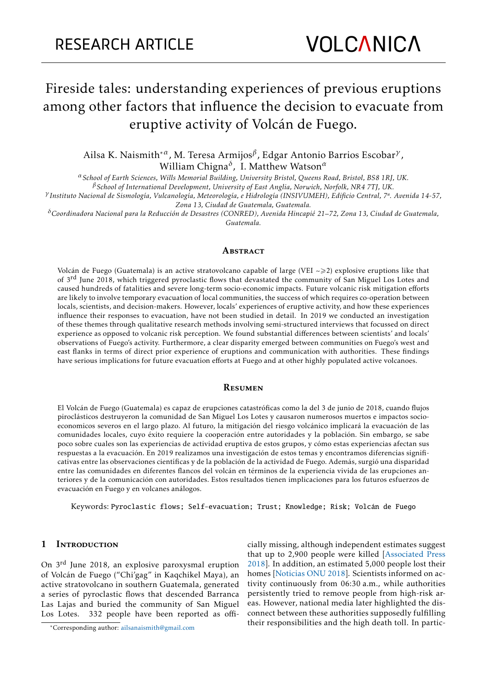# Fireside tales: understanding experiences of previous eruptions among other factors that influence the decision to evacuate from eruptive activity of Volcán de Fuego.

Ailsa K. Naismith\**<sup>α</sup>* , M. Teresa Armijos*<sup>β</sup>* , Edgar Antonio Barrios Escobar*<sup>γ</sup>* , William Chigna*<sup>δ</sup>* , I. Matthew Watson*<sup>α</sup>*

*<sup>α</sup>School of Earth Sciences, Wills Memorial Building, University Bristol, Queens Road, Bristol, BS8 1RJ, UK.*

*<sup>β</sup>School of International Development, University of East Anglia, Norwich, Norfolk, NR4 7TJ, UK.*

*<sup>γ</sup> Instituto Nacional de Sismología, Vulcanología, Meteorología, e Hidrología (INSIVUMEH), Edificio Central, 7ª. Avenida 14-57, Zona 13, Ciudad de Guatemala, Guatemala.*

*<sup>δ</sup>Coordinadora Nacional para la Reducción de Desastres (CONRED), Avenida Hincapié 21–72, Zona 13, Ciudad de Guatemala, Guatemala.*

#### **ABSTRACT**

Volcán de Fuego (Guatemala) is an active stratovolcano capable of large (VEI  $\geq$ 2) explosive eruptions like that of 3<sup>rd</sup> June 2018, which triggered pyroclastic flows that devastated the community of San Miguel Los Lotes and caused hundreds of fatalities and severe long-term socio-economic impacts. Future volcanic risk mitigation efforts are likely to involve temporary evacuation of local communities, the success of which requires co-operation between locals, scientists, and decision-makers. However, locals' experiences of eruptive activity, and how these experiences influence their responses to evacuation, have not been studied in detail. In 2019 we conducted an investigation of these themes through qualitative research methods involving semi-structured interviews that focussed on direct experience as opposed to volcanic risk perception. We found substantial differences between scientists' and locals' observations of Fuego's activity. Furthermore, a clear disparity emerged between communities on Fuego's west and east flanks in terms of direct prior experience of eruptions and communication with authorities. These findings have serious implications for future evacuation efforts at Fuego and at other highly populated active volcanoes.

#### **RESUMEN**

El Volcán de Fuego (Guatemala) es capaz de erupciones catastróficas como la del 3 de junio de 2018, cuando flujos piroclásticos destruyeron la comunidad de San Miguel Los Lotes y causaron numerosos muertos e impactos socioeconomicos severos en el largo plazo. Al futuro, la mitigación del riesgo volcánico implicará la evacuación de las comunidades locales, cuyo éxito requiere la cooperación entre autoridades y la población. Sin embargo, se sabe poco sobre cuales son las experiencias de actividad eruptiva de estos grupos, y cómo estas experiencias afectan sus respuestas a la evacuación. En 2019 realizamos una investigación de estos temas y encontramos diferencias significativas entre las observaciones científicas y de la población de la actividad de Fuego. Además, surgió una disparidad entre las comunidades en diferentes flancos del volcán en términos de la experiencia vivida de las erupciones anteriores y de la comunicación con autoridades. Estos resultados tienen implicaciones para los futuros esfuerzos de evacuación en Fuego y en volcanes análogos.

Keywords: Pyroclastic flows; Self-evacuation; Trust; Knowledge; Risk; Volcán de Fuego

## 1 INTRODUCTION

On 3rd June 2018, an explosive paroxysmal eruption of Volcán de Fuego ("Chi'gag" in Kaqchikel Maya), an active stratovolcano in southern Guatemala, generated a series of pyroclastic flows that descended Barranca Las Lajas and buried the community of San Miguel Los Lotes. 332 people have been reported as officially missing, although independent estimates suggest that up to 2,900 people were killed [\[Associated Press](#page-19-0) [2018\]](#page-19-0). In addition, an estimated 5,000 people lost their homes [\[Noticias ONU 2018\]](#page-21-0). Scientists informed on activity continuously from 06:30 a.m., while authorities persistently tried to remove people from high-risk areas. However, national media later highlighted the disconnect between these authorities supposedly fulfilling their responsibilities and the high death toll. In partic-

<sup>\*</sup>Corresponding author: [ailsanaismith@gmail.com](mailto:ailsanaismith@gmail.com)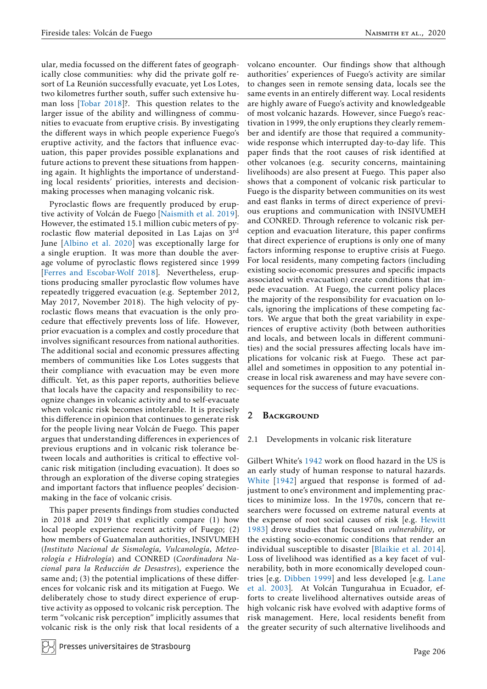ular, media focussed on the different fates of geographically close communities: why did the private golf resort of La Reunión successfully evacuate, yet Los Lotes, two kilometres further south, suffer such extensive human loss [\[Tobar 2018\]](#page-21-1)?. This question relates to the larger issue of the ability and willingness of communities to evacuate from eruptive crisis. By investigating the different ways in which people experience Fuego's eruptive activity, and the factors that influence evacuation, this paper provides possible explanations and future actions to prevent these situations from happening again. It highlights the importance of understanding local residents' priorities, interests and decisionmaking processes when managing volcanic risk.

Pyroclastic flows are frequently produced by eruptive activity of Volcán de Fuego [\[Naismith et al. 2019\]](#page-21-2). However, the estimated 15.1 million cubic meters of pyroclastic flow material deposited in Las Lajas on 3rd June [\[Albino et al. 2020\]](#page-19-1) was exceptionally large for a single eruption. It was more than double the average volume of pyroclastic flows registered since 1999 [\[Ferres and Escobar-Wolf 2018\]](#page-20-0). Nevertheless, eruptions producing smaller pyroclastic flow volumes have repeatedly triggered evacuation (e.g. September 2012, May 2017, November 2018). The high velocity of pyroclastic flows means that evacuation is the only procedure that effectively prevents loss of life. However, prior evacuation is a complex and costly procedure that involves significant resources from national authorities. The additional social and economic pressures affecting members of communities like Los Lotes suggests that their compliance with evacuation may be even more difficult. Yet, as this paper reports, authorities believe that locals have the capacity and responsibility to recognize changes in volcanic activity and to self-evacuate when volcanic risk becomes intolerable. It is precisely this difference in opinion that continues to generate risk for the people living near Volcán de Fuego. This paper argues that understanding differences in experiences of previous eruptions and in volcanic risk tolerance between locals and authorities is critical to effective volcanic risk mitigation (including evacuation). It does so through an exploration of the diverse coping strategies and important factors that influence peoples' decisionmaking in the face of volcanic crisis.

This paper presents findings from studies conducted in 2018 and 2019 that explicitly compare (1) how local people experience recent activity of Fuego; (2) how members of Guatemalan authorities, INSIVUMEH (*Instituto Nacional de Sismología, Vulcanología, Meteorología e Hidrología*) and CONRED (*Coordinadora Nacional para la Reducción de Desastres*), experience the same and; (3) the potential implications of these differences for volcanic risk and its mitigation at Fuego. We deliberately chose to study direct experience of eruptive activity as opposed to volcanic risk perception. The term "volcanic risk perception" implicitly assumes that volcanic risk is the only risk that local residents of a

Presses universitaires de Strasbourg

volcano encounter. Our findings show that although authorities' experiences of Fuego's activity are similar to changes seen in remote sensing data, locals see the same events in an entirely different way. Local residents are highly aware of Fuego's activity and knowledgeable of most volcanic hazards. However, since Fuego's reactivation in 1999, the only eruptions they clearly remember and identify are those that required a communitywide response which interrupted day-to-day life. This paper finds that the root causes of risk identified at other volcanoes (e.g. security concerns, maintaining livelihoods) are also present at Fuego. This paper also shows that a component of volcanic risk particular to Fuego is the disparity between communities on its west and east flanks in terms of direct experience of previous eruptions and communication with INSIVUMEH and CONRED. Through reference to volcanic risk perception and evacuation literature, this paper confirms that direct experience of eruptions is only one of many factors informing response to eruptive crisis at Fuego. For local residents, many competing factors (including existing socio-economic pressures and specific impacts associated with evacuation) create conditions that impede evacuation. At Fuego, the current policy places the majority of the responsibility for evacuation on locals, ignoring the implications of these competing factors. We argue that both the great variability in experiences of eruptive activity (both between authorities and locals, and between locals in different communities) and the social pressures affecting locals have implications for volcanic risk at Fuego. These act parallel and sometimes in opposition to any potential increase in local risk awareness and may have severe consequences for the success of future evacuations.

# <span id="page-1-0"></span>2 BACKGROUND

# 2.1 Developments in volcanic risk literature

Gilbert White's [1942](#page-21-3) work on flood hazard in the US is an early study of human response to natural hazards. White [\[1942\]](#page-21-3) argued that response is formed of adjustment to one's environment and implementing practices to minimize loss. In the 1970s, concern that researchers were focussed on extreme natural events at the expense of root social causes of risk [e.g. [Hewitt](#page-20-1) [1983\]](#page-20-1) drove studies that focussed on *vulnerability*, or the existing socio-economic conditions that render an individual susceptible to disaster [\[Blaikie et al. 2014\]](#page-20-2). Loss of livelihood was identified as a key facet of vulnerability, both in more economically developed countries [e.g. [Dibben 1999\]](#page-20-3) and less developed [e.g. [Lane](#page-21-4) [et al. 2003\]](#page-21-4). At Volcán Tungurahua in Ecuador, efforts to create livelihood alternatives outside areas of high volcanic risk have evolved with adaptive forms of risk management. Here, local residents benefit from the greater security of such alternative livelihoods and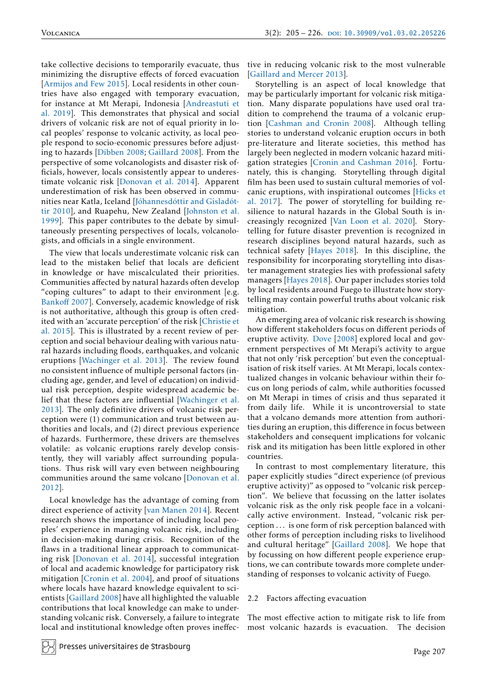take collective decisions to temporarily evacuate, thus minimizing the disruptive effects of forced evacuation [\[Armijos and Few 2015\]](#page-19-2). Local residents in other countries have also engaged with temporary evacuation, for instance at Mt Merapi, Indonesia [\[Andreastuti et](#page-19-3) [al. 2019\]](#page-19-3). This demonstrates that physical and social drivers of volcanic risk are not of equal priority in local peoples' response to volcanic activity, as local people respond to socio-economic pressures before adjusting to hazards [\[Dibben 2008;](#page-20-4) [Gaillard 2008\]](#page-20-5). From the perspective of some volcanologists and disaster risk officials, however, locals consistently appear to underestimate volcanic risk [\[Donovan et al. 2014\]](#page-20-6). Apparent underestimation of risk has been observed in communities near Katla, Iceland [\[Jóhannesdóttir and Gísladót](#page-21-5)[tir 2010\]](#page-21-5), and Ruapehu, New Zealand [\[Johnston et al.](#page-21-6) [1999\]](#page-21-6). This paper contributes to the debate by simultaneously presenting perspectives of locals, volcanologists, and officials in a single environment.

The view that locals underestimate volcanic risk can lead to the mistaken belief that locals are deficient in knowledge or have miscalculated their priorities. Communities affected by natural hazards often develop "coping cultures" to adapt to their environment [e.g. [Banko](#page-19-4)ff 2007]. Conversely, academic knowledge of risk is not authoritative, although this group is often credited with an 'accurate perception' of the risk [\[Christie et](#page-20-7) [al. 2015\]](#page-20-7). This is illustrated by a recent review of perception and social behaviour dealing with various natural hazards including floods, earthquakes, and volcanic eruptions [\[Wachinger et al. 2013\]](#page-21-7). The review found no consistent influence of multiple personal factors (including age, gender, and level of education) on individual risk perception, despite widespread academic belief that these factors are influential [\[Wachinger et al.](#page-21-7) [2013\]](#page-21-7). The only definitive drivers of volcanic risk perception were (1) communication and trust between authorities and locals, and (2) direct previous experience of hazards. Furthermore, these drivers are themselves volatile: as volcanic eruptions rarely develop consistently, they will variably affect surrounding populations. Thus risk will vary even between neighbouring communities around the same volcano [\[Donovan et al.](#page-20-8) [2012\]](#page-20-8).

Local knowledge has the advantage of coming from direct experience of activity [\[van Manen 2014\]](#page-21-8). Recent research shows the importance of including local peoples' experience in managing volcanic risk, including in decision-making during crisis. Recognition of the flaws in a traditional linear approach to communicating risk [\[Donovan et al. 2014\]](#page-20-6), successful integration of local and academic knowledge for participatory risk mitigation [\[Cronin et al. 2004\]](#page-20-9), and proof of situations where locals have hazard knowledge equivalent to scientists [\[Gaillard 2008\]](#page-20-5) have all highlighted the valuable contributions that local knowledge can make to understanding volcanic risk. Conversely, a failure to integrate local and institutional knowledge often proves ineffective in reducing volcanic risk to the most vulnerable [\[Gaillard and Mercer 2013\]](#page-20-10).

Storytelling is an aspect of local knowledge that may be particularly important for volcanic risk mitigation. Many disparate populations have used oral tradition to comprehend the trauma of a volcanic eruption [\[Cashman and Cronin 2008\]](#page-20-11). Although telling stories to understand volcanic eruption occurs in both pre-literature and literate societies, this method has largely been neglected in modern volcanic hazard mitigation strategies [\[Cronin and Cashman 2016\]](#page-20-12). Fortunately, this is changing. Storytelling through digital film has been used to sustain cultural memories of volcanic eruptions, with inspirational outcomes [\[Hicks et](#page-21-9) [al. 2017\]](#page-21-9). The power of storytelling for building resilience to natural hazards in the Global South is increasingly recognized [\[Van Loon et al. 2020\]](#page-21-10). Storytelling for future disaster prevention is recognized in research disciplines beyond natural hazards, such as technical safety [\[Hayes 2018\]](#page-20-13). In this discipline, the responsibility for incorporating storytelling into disaster management strategies lies with professional safety managers [\[Hayes 2018\]](#page-20-13). Our paper includes stories told by local residents around Fuego to illustrate how storytelling may contain powerful truths about volcanic risk mitigation.

An emerging area of volcanic risk research is showing how different stakeholders focus on different periods of eruptive activity. Dove [\[2008\]](#page-20-14) explored local and government perspectives of Mt Merapi's activity to argue that not only 'risk perception' but even the conceptualisation of risk itself varies. At Mt Merapi, locals contextualized changes in volcanic behaviour within their focus on long periods of calm, while authorities focussed on Mt Merapi in times of crisis and thus separated it from daily life. While it is uncontroversial to state that a volcano demands more attention from authorities during an eruption, this difference in focus between stakeholders and consequent implications for volcanic risk and its mitigation has been little explored in other countries.

In contrast to most complementary literature, this paper explicitly studies "direct experience (of previous eruptive activity)" as opposed to "volcanic risk perception". We believe that focussing on the latter isolates volcanic risk as the only risk people face in a volcanically active environment. Instead, "volcanic risk perception . . . is one form of risk perception balanced with other forms of perception including risks to livelihood and cultural heritage" [\[Gaillard 2008\]](#page-20-5). We hope that by focussing on how different people experience eruptions, we can contribute towards more complete understanding of responses to volcanic activity of Fuego.

#### <span id="page-2-0"></span>2.2 Factors affecting evacuation

The most effective action to mitigate risk to life from most volcanic hazards is evacuation. The decision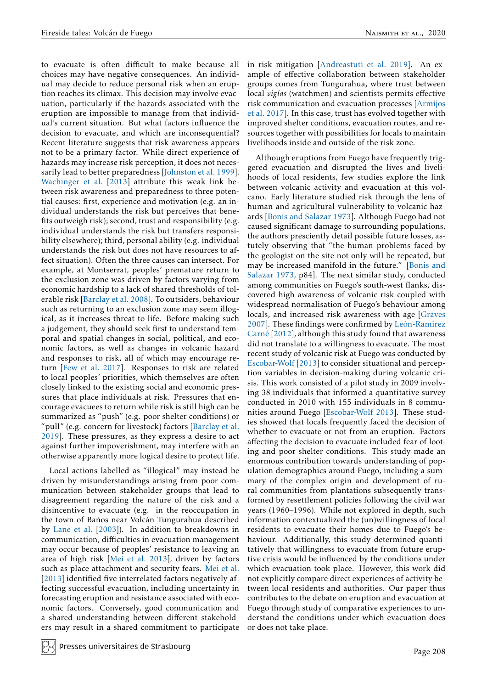to evacuate is often difficult to make because all choices may have negative consequences. An individual may decide to reduce personal risk when an eruption reaches its climax. This decision may involve evacuation, particularly if the hazards associated with the eruption are impossible to manage from that individual's current situation. But what factors influence the decision to evacuate, and which are inconsequential? Recent literature suggests that risk awareness appears not to be a primary factor. While direct experience of hazards may increase risk perception, it does not necessarily lead to better preparedness [\[Johnston et al. 1999\]](#page-21-6). [Wachinger et al.](#page-21-7) [2013] attribute this weak link between risk awareness and preparedness to three potential causes: first, experience and motivation (e.g. an individual understands the risk but perceives that benefits outweigh risk); second, trust and responsibility (e.g. individual understands the risk but transfers responsibility elsewhere); third, personal ability (e.g. individual understands the risk but does not have resources to affect situation). Often the three causes can intersect. For example, at Montserrat, peoples' premature return to the exclusion zone was driven by factors varying from economic hardship to a lack of shared thresholds of tolerable risk [\[Barclay et al. 2008\]](#page-20-15). To outsiders, behaviour such as returning to an exclusion zone may seem illogical, as it increases threat to life. Before making such a judgement, they should seek first to understand temporal and spatial changes in social, political, and economic factors, as well as changes in volcanic hazard and responses to risk, all of which may encourage return [\[Few et al. 2017\]](#page-20-16). Responses to risk are related to local peoples' priorities, which themselves are often closely linked to the existing social and economic pressures that place individuals at risk. Pressures that encourage evacuees to return while risk is still high can be summarized as "push" (e.g. poor shelter conditions) or "pull" (e.g. concern for livestock) factors [\[Barclay et al.](#page-20-17) [2019\]](#page-20-17). These pressures, as they express a desire to act against further impoverishment, may interfere with an otherwise apparently more logical desire to protect life.

Local actions labelled as "illogical" may instead be driven by misunderstandings arising from poor communication between stakeholder groups that lead to disagreement regarding the nature of the risk and a disincentive to evacuate (e.g. in the reoccupation in the town of Baños near Volcán Tungurahua described by [Lane et al.](#page-21-4) [2003]). In addition to breakdowns in communication, difficulties in evacuation management may occur because of peoples' resistance to leaving an area of high risk [\[Mei et al. 2013\]](#page-21-11), driven by factors such as place attachment and security fears. [Mei et al.](#page-21-11) [\[2013\]](#page-21-11) identified five interrelated factors negatively affecting successful evacuation, including uncertainty in forecasting eruption and resistance associated with economic factors. Conversely, good communication and a shared understanding between different stakeholders may result in a shared commitment to participate in risk mitigation [\[Andreastuti et al. 2019\]](#page-19-3). An example of effective collaboration between stakeholder groups comes from Tungurahua, where trust between local *vigías* (watchmen) and scientists permits effective risk communication and evacuation processes [\[Armijos](#page-19-5) [et al. 2017\]](#page-19-5). In this case, trust has evolved together with improved shelter conditions, evacuation routes, and resources together with possibilities for locals to maintain livelihoods inside and outside of the risk zone.

Although eruptions from Fuego have frequently triggered evacuation and disrupted the lives and livelihoods of local residents, few studies explore the link between volcanic activity and evacuation at this volcano. Early literature studied risk through the lens of human and agricultural vulnerability to volcanic hazards [\[Bonis and Salazar 1973\]](#page-20-18). Although Fuego had not caused significant damage to surrounding populations, the authors presciently detail possible future losses, astutely observing that "the human problems faced by the geologist on the site not only will be repeated, but may be increased manifold in the future." [\[Bonis and](#page-20-18) [Salazar 1973,](#page-20-18) p84]. The next similar study, conducted among communities on Fuego's south-west flanks, discovered high awareness of volcanic risk coupled with widespread normalisation of Fuego's behaviour among locals, and increased risk awareness with age [\[Graves](#page-20-19) [2007\]](#page-20-19). These findings were confirmed by [León-Ramírez](#page-21-12) Carné [\[2012\],](#page-21-12) although this study found that awareness did not translate to a willingness to evacuate. The most recent study of volcanic risk at Fuego was conducted by [Escobar-Wolf](#page-20-20) [2013] to consider situational and perception variables in decision-making during volcanic crisis. This work consisted of a pilot study in 2009 involving 38 individuals that informed a quantitative survey conducted in 2010 with 155 individuals in 8 communities around Fuego [\[Escobar-Wolf 2013\]](#page-20-20). These studies showed that locals frequently faced the decision of whether to evacuate or not from an eruption. Factors affecting the decision to evacuate included fear of looting and poor shelter conditions. This study made an enormous contribution towards understanding of population demographics around Fuego, including a summary of the complex origin and development of rural communities from plantations subsequently transformed by resettlement policies following the civil war years (1960–1996). While not explored in depth, such information contextualized the (un)willingness of local residents to evacuate their homes due to Fuego's behaviour. Additionally, this study determined quantitatively that willingness to evacuate from future eruptive crisis would be influenced by the conditions under which evacuation took place. However, this work did not explicitly compare direct experiences of activity between local residents and authorities. Our paper thus contributes to the debate on eruption and evacuation at Fuego through study of comparative experiences to understand the conditions under which evacuation does or does not take place.

Presses universitaires de Strasbourg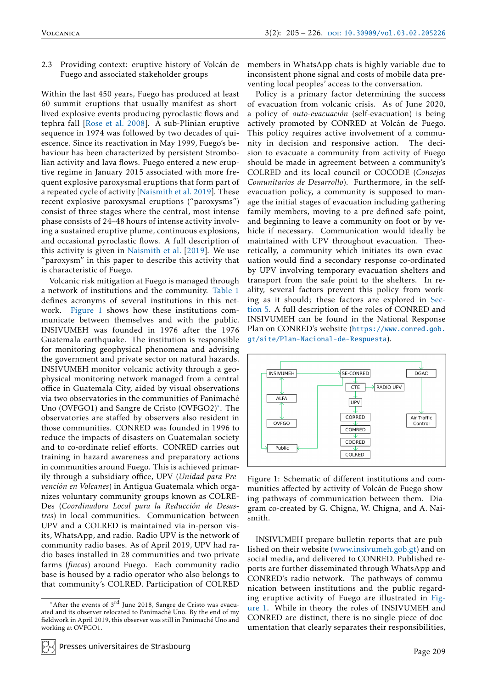<span id="page-4-2"></span>2.3 Providing context: eruptive history of Volcán de Fuego and associated stakeholder groups

Within the last 450 years, Fuego has produced at least 60 summit eruptions that usually manifest as shortlived explosive events producing pyroclastic flows and tephra fall [\[Rose et al. 2008\]](#page-21-13). A sub-Plinian eruptive sequence in 1974 was followed by two decades of quiescence. Since its reactivation in May 1999, Fuego's behaviour has been characterized by persistent Strombolian activity and lava flows. Fuego entered a new eruptive regime in January 2015 associated with more frequent explosive paroxysmal eruptions that form part of a repeated cycle of activity [\[Naismith et al. 2019\]](#page-21-2). These recent explosive paroxysmal eruptions ("paroxysms") consist of three stages where the central, most intense phase consists of 24–48 hours of intense activity involving a sustained eruptive plume, continuous explosions, and occasional pyroclastic flows. A full description of this activity is given in [Naismith et al.](#page-21-2) [2019]. We use "paroxysm" in this paper to describe this activity that is characteristic of Fuego.

Volcanic risk mitigation at Fuego is managed through a network of institutions and the community. [Table 1](#page-5-0) defines acronyms of several institutions in this network. [Figure 1](#page-4-0) shows how these institutions communicate between themselves and with the public. INSIVUMEH was founded in 1976 after the 1976 Guatemala earthquake. The institution is responsible for monitoring geophysical phenomena and advising the government and private sector on natural hazards. INSIVUMEH monitor volcanic activity through a geophysical monitoring network managed from a central office in Guatemala City, aided by visual observations via two observatories in the communities of Panimaché Uno (OVFGO1) and Sangre de Cristo (OVFGO2)[\\*](#page-4-1) . The observatories are staffed by observers also resident in those communities. CONRED was founded in 1996 to reduce the impacts of disasters on Guatemalan society and to co-ordinate relief efforts. CONRED carries out training in hazard awareness and preparatory actions in communities around Fuego. This is achieved primarily through a subsidiary office, UPV (*Unidad para Prevención en Volcanes*) in Antigua Guatemala which organizes voluntary community groups known as COLRE-Des (*Coordinadora Local para la Reducción de Desastres*) in local communities. Communication between UPV and a COLRED is maintained via in-person visits, WhatsApp, and radio. Radio UPV is the network of community radio bases. As of April 2019, UPV had radio bases installed in 28 communities and two private farms (*fincas*) around Fuego. Each community radio base is housed by a radio operator who also belongs to that community's COLRED. Participation of COLRED

members in WhatsApp chats is highly variable due to inconsistent phone signal and costs of mobile data preventing local peoples' access to the conversation.

Policy is a primary factor determining the success of evacuation from volcanic crisis. As of June 2020, a policy of *auto-evacuación* (self-evacuation) is being actively promoted by CONRED at Volcán de Fuego. This policy requires active involvement of a community in decision and responsive action. The decision to evacuate a community from activity of Fuego should be made in agreement between a community's COLRED and its local council or COCODE (*Consejos Comunitarios de Desarrollo*). Furthermore, in the selfevacuation policy, a community is supposed to manage the initial stages of evacuation including gathering family members, moving to a pre-defined safe point, and beginning to leave a community on foot or by vehicle if necessary. Communication would ideally be maintained with UPV throughout evacuation. Theoretically, a community which initiates its own evacuation would find a secondary response co-ordinated by UPV involving temporary evacuation shelters and transport from the safe point to the shelters. In reality, several factors prevent this policy from working as it should; these factors are explored in [Sec](#page-13-0)[tion 5.](#page-13-0) A full description of the roles of CONRED and INSIVUMEH can be found in the National Response Plan on CONRED's website ([https://www.conred.gob.](https://www.conred.gob.gt/site/Plan-Nacional-de-Respuesta) [gt/site/Plan-Nacional-de-Respuesta](https://www.conred.gob.gt/site/Plan-Nacional-de-Respuesta)).

<span id="page-4-0"></span>

Figure 1: Schematic of different institutions and communities affected by activity of Volcán de Fuego showing pathways of communication between them. Diagram co-created by G. Chigna, W. Chigna, and A. Naismith.

INSIVUMEH prepare bulletin reports that are published on their website [\(www.insivumeh.gob.gt\)](http://www.insivumeh.gob.gt) and on social media, and delivered to CONRED. Published reports are further disseminated through WhatsApp and CONRED's radio network. The pathways of communication between institutions and the public regarding eruptive activity of Fuego are illustrated in [Fig](#page-4-0)[ure 1.](#page-4-0) While in theory the roles of INSIVUMEH and CONRED are distinct, there is no single piece of documentation that clearly separates their responsibilities,

<span id="page-4-1"></span><sup>\*</sup>After the events of 3<sup>rd</sup> June 2018, Sangre de Cristo was evacuated and its observer relocated to Panimaché Uno. By the end of my fieldwork in April 2019, this observer was still in Panimaché Uno and working at OVFGO1.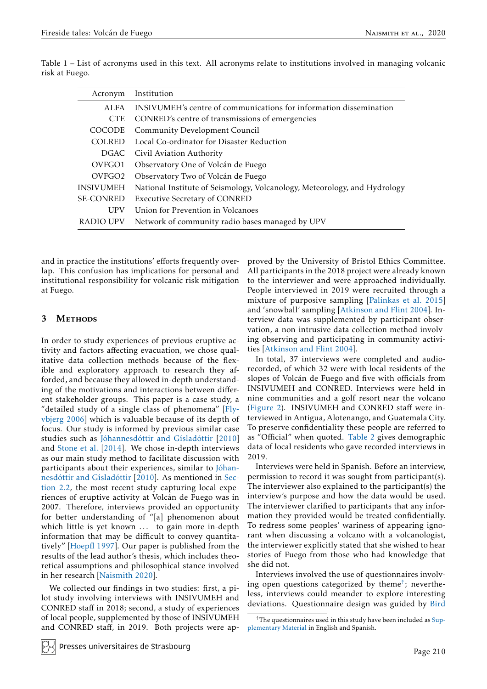| Acronym            | Institution                                                               |
|--------------------|---------------------------------------------------------------------------|
| ALFA               | INSIVUMEH's centre of communications for information dissemination        |
| <b>CTE</b>         | CONRED's centre of transmissions of emergencies                           |
| <b>COCODE</b>      | Community Development Council                                             |
| COLRED.            | Local Co-ordinator for Disaster Reduction                                 |
|                    | DGAC Civil Aviation Authority                                             |
| OVFGO1             | Observatory One of Volcán de Fuego                                        |
| OVFGO <sub>2</sub> | Observatory Two of Volcán de Fuego                                        |
| <b>INSIVUMEH</b>   | National Institute of Seismology, Volcanology, Meteorology, and Hydrology |
| <b>SE-CONRED</b>   | <b>Executive Secretary of CONRED</b>                                      |
| <b>UPV</b>         | Union for Prevention in Volcanoes                                         |
| RADIO UPV          | Network of community radio bases managed by UPV                           |

<span id="page-5-0"></span>Table 1 – List of acronyms used in this text. All acronyms relate to institutions involved in managing volcanic risk at Fuego.

and in practice the institutions' efforts frequently overlap. This confusion has implications for personal and institutional responsibility for volcanic risk mitigation at Fuego.

# 3 METHODS

In order to study experiences of previous eruptive activity and factors affecting evacuation, we chose qualitative data collection methods because of the flexible and exploratory approach to research they afforded, and because they allowed in-depth understanding of the motivations and interactions between different stakeholder groups. This paper is a case study, a "detailed study of a single class of phenomena" [\[Fly](#page-20-21)[vbjerg 2006\]](#page-20-21) which is valuable because of its depth of focus. Our study is informed by previous similar case studies such as [Jóhannesdóttir and Gísladóttir](#page-21-5) [2010] and [Stone et al.](#page-21-14) [2014]. We chose in-depth interviews as our main study method to facilitate discussion with participants about their experiences, similar to [Jóhan](#page-21-5)[nesdóttir and Gísladóttir](#page-21-5) [2010]. As mentioned in [Sec](#page-2-0)[tion 2.2,](#page-2-0) the most recent study capturing local experiences of eruptive activity at Volcán de Fuego was in 2007. Therefore, interviews provided an opportunity for better understanding of "[a] phenomenon about which little is yet known ... to gain more in-depth information that may be difficult to convey quantitatively" [\[Hoepfl 1997\]](#page-21-15). Our paper is published from the results of the lead author's thesis, which includes theoretical assumptions and philosophical stance involved in her research [\[Naismith 2020\]](#page-21-16).

We collected our findings in two studies: first, a pilot study involving interviews with INSIVUMEH and CONRED staff in 2018; second, a study of experiences of local people, supplemented by those of INSIVUMEH and CONRED staff, in 2019. Both projects were approved by the University of Bristol Ethics Committee. All participants in the 2018 project were already known to the interviewer and were approached individually. People interviewed in 2019 were recruited through a mixture of purposive sampling [\[Palinkas et al. 2015\]](#page-21-17) and 'snowball' sampling [\[Atkinson and Flint 2004\]](#page-19-6). Interview data was supplemented by participant observation, a non-intrusive data collection method involving observing and participating in community activities [\[Atkinson and Flint 2004\]](#page-19-6).

In total, 37 interviews were completed and audiorecorded, of which 32 were with local residents of the slopes of Volcán de Fuego and five with officials from INSIVUMEH and CONRED. Interviews were held in nine communities and a golf resort near the volcano [\(Figure 2\)](#page-6-0). INSIVUMEH and CONRED staff were interviewed in Antigua, Alotenango, and Guatemala City. To preserve confidentiality these people are referred to as "Official" when quoted. [Table 2](#page-6-1) gives demographic data of local residents who gave recorded interviews in 2019.

Interviews were held in Spanish. Before an interview, permission to record it was sought from participant(s). The interviewer also explained to the participant(s) the interview's purpose and how the data would be used. The interviewer clarified to participants that any information they provided would be treated confidentially. To redress some peoples' wariness of appearing ignorant when discussing a volcano with a volcanologist, the interviewer explicitly stated that she wished to hear stories of Fuego from those who had knowledge that she did not.

Interviews involved the use of questionnaires involving open questions categorized by theme[†](#page-5-1) ; nevertheless, interviews could meander to explore interesting deviations. Questionnaire design was guided by [Bird](#page-20-22)

<span id="page-5-1"></span> $<sup>†</sup>$ [The questionnaires used in this study have been included as](#page-20-22) Sup-</sup> [plementary Material](https://www.jvolcanica.org/ojs/index.php/volcanica/article/view/68) [in English and Spanish.](#page-20-22)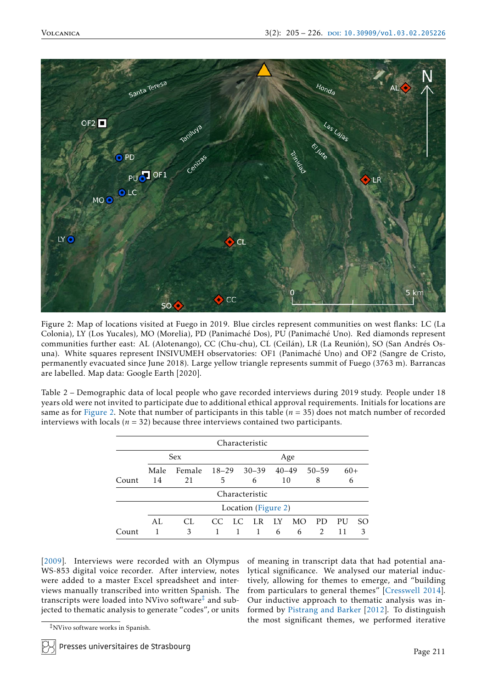<span id="page-6-0"></span>

[Figure 2: Map of locations visited at Fuego in 2019. Blue circles represent communities on west flanks: LC \(La](#page-20-22) [Colonia\), LY \(Los Yucales\), MO \(Morelia\), PD \(Panimaché Dos\), PU \(Panimaché Uno\). Red diamonds represent](#page-20-22) [communities further east: AL \(Alotenango\), CC \(Chu-chu\), CL \(Ceilán\), LR \(La Reunión\), SO \(San Andrés Os](#page-20-22)[una\). White squares represent INSIVUMEH observatories: OF1 \(Panimaché Uno\) and OF2 \(Sangre de Cristo,](#page-20-22) [permanently evacuated since June 2018\). Large yellow triangle represents summit of Fuego \(3763 m\). Barrancas](#page-20-22) [are labelled. Map data: Google Earth \[2020\].](#page-20-22)

<span id="page-6-1"></span>[Table 2 – Demographic data of local people who gave recorded interviews during 2019 study. People under 18](#page-20-22) [years old were not invited to participate due to additional ethical approval requirements. Initials for locations are](#page-20-22) same as for [Figure 2. Note that number of participants in this table \(](#page-20-22)*n* = 35) does not match number of recorded interviews with locals ( $n = 32$ ) because three interviews contained two participants.

|       |            |                                           |     |             | Characteristic      |                |          |                      |          |         |
|-------|------------|-------------------------------------------|-----|-------------|---------------------|----------------|----------|----------------------|----------|---------|
|       |            | <b>Sex</b>                                |     |             |                     |                | Age      |                      |          |         |
| Count | Male<br>14 | $18-29$ $30-39$<br>Female<br>5<br>21<br>6 |     | 40–49<br>10 |                     | $50 - 59$<br>8 |          | $60+$<br>6           |          |         |
|       |            |                                           |     |             | Characteristic      |                |          |                      |          |         |
|       |            |                                           |     |             | Location (Figure 2) |                |          |                      |          |         |
| Count | AI.        | CL.<br>3                                  | CC. | LC          | LR.<br>1.           | LY.<br>6       | MO.<br>6 | PD.<br>$\mathcal{P}$ | PU<br>11 | SO<br>κ |

[\[2009\].](#page-20-22) Interviews were recorded with an Olympus WS-853 digital voice recorder. After interview, notes were added to a master Excel spreadsheet and interviews manually transcribed into written Spanish. The transcripts were loaded into NVivo software[‡](#page-6-2) and subjected to thematic analysis to generate "codes", or units of meaning in transcript data that had potential analytical significance. We analysed our material inductively, allowing for themes to emerge, and "building from particulars to general themes" [\[Cresswell 2014\]](#page-20-23). Our inductive approach to thematic analysis was informed by [Pistrang and Barker](#page-21-18) [2012]. To distinguish the most significant themes, we performed iterative

<span id="page-6-2"></span><sup>‡</sup>NVivo software works in Spanish.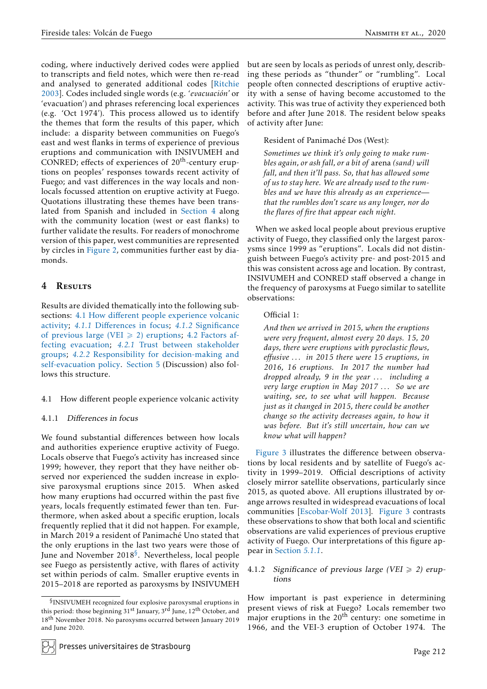coding, where inductively derived codes were applied to transcripts and field notes, which were then re-read and analysed to generated additional codes [\[Ritchie](#page-21-19) [2003\]](#page-21-19). Codes included single words (e.g. '*evacuación'* or 'evacuation') and phrases referencing local experiences (e.g. 'Oct 1974'). This process allowed us to identify the themes that form the results of this paper, which include: a disparity between communities on Fuego's east and west flanks in terms of experience of previous eruptions and communication with INSIVUMEH and CONRED; effects of experiences of  $20<sup>th</sup>$ -century eruptions on peoples' responses towards recent activity of Fuego; and vast differences in the way locals and nonlocals focussed attention on eruptive activity at Fuego. Quotations illustrating these themes have been translated from Spanish and included in [Section 4](#page-7-0) along with the community location (west or east flanks) to further validate the results. For readers of monochrome version of this paper, west communities are represented by circles in [Figure 2,](#page-6-0) communities further east by diamonds.

# <span id="page-7-0"></span>4 RESULTS

Results are divided thematically into the following subsections: 4.1 How diff[erent people experience volcanic](#page-7-1) [activity;](#page-7-1) *4.1.1* Diff[erences in focus;](#page-7-2) *4.1.2* [Significance](#page-7-3) [of previous large \(VEI](#page-7-3)  $\geq$  2) eruptions; [4.2 Factors af](#page-10-0)[fecting evacuation;](#page-10-0) *4.2.1* [Trust between stakeholder](#page-10-1) [groups;](#page-10-1) *4.2.2* [Responsibility for decision-making and](#page-11-0) [self-evacuation policy.](#page-11-0) [Section 5](#page-13-0) (Discussion) also follows this structure.

## <span id="page-7-1"></span>4.1 How different people experience volcanic activity

## <span id="page-7-2"></span>4.1.1 Differences in focus

We found substantial differences between how locals and authorities experience eruptive activity of Fuego. Locals observe that Fuego's activity has increased since 1999; however, they report that they have neither observed nor experienced the sudden increase in explosive paroxysmal eruptions since 2015. When asked how many eruptions had occurred within the past five years, locals frequently estimated fewer than ten. Furthermore, when asked about a specific eruption, locals frequently replied that it did not happen. For example, in March 2019 a resident of Panimaché Uno stated that the only eruptions in the last two years were those of June and November 2018 $\rm ^{\rm S}$ . Nevertheless, local people see Fuego as persistently active, with flares of activity set within periods of calm. Smaller eruptive events in 2015–2018 are reported as paroxysms by INSIVUMEH

but are seen by locals as periods of unrest only, describing these periods as "thunder" or "rumbling". Local people often connected descriptions of eruptive activity with a sense of having become accustomed to the activity. This was true of activity they experienced both before and after June 2018. The resident below speaks of activity after June:

Resident of Panimaché Dos (West):

*Sometimes we think it's only going to make rumbles again, or ash fall, or a bit of* arena *(sand) will fall, and then it'll pass. So, that has allowed some of us to stay here. We are already used to the rumbles and we have this already as an experience that the rumbles don't scare us any longer, nor do the flares of fire that appear each night.*

When we asked local people about previous eruptive activity of Fuego, they classified only the largest paroxysms since 1999 as "eruptions". Locals did not distinguish between Fuego's activity pre- and post-2015 and this was consistent across age and location. By contrast, INSIVUMEH and CONRED staff observed a change in the frequency of paroxysms at Fuego similar to satellite observations:

# Official 1:

*And then we arrived in 2015, when the eruptions were very frequent, almost every 20 days. 15, 20 days, there were eruptions with pyroclastic flows, effusive . . . in 2015 there were 15 eruptions, in 2016, 16 eruptions. In 2017 the number had dropped already, 9 in the year . . . including a very large eruption in May 2017 . . . So we are waiting, see, to see what will happen. Because just as it changed in 2015, there could be another change so the activity decreases again, to how it was before. But it's still uncertain, how can we know what will happen?*

[Figure 3](#page-8-0) illustrates the difference between observations by local residents and by satellite of Fuego's activity in 1999–2019. Official descriptions of activity closely mirror satellite observations, particularly since 2015, as quoted above. All eruptions illustrated by orange arrows resulted in widespread evacuations of local communities [\[Escobar-Wolf 2013\]](#page-20-20). [Figure 3](#page-8-0) contrasts these observations to show that both local and scientific observations are valid experiences of previous eruptive activity of Fuego. Our interpretations of this figure appear in [Section](#page-13-1) *5.1.1*.

## <span id="page-7-3"></span>4.1.2 Significance of previous large (VEI  $\ge$  2) eruptions

How important is past experience in determining present views of risk at Fuego? Locals remember two major eruptions in the  $20<sup>th</sup>$  century: one sometime in 1966, and the VEI-3 eruption of October 1974. The

<span id="page-7-4"></span><sup>§</sup> INSIVUMEH recognized four explosive paroxysmal eruptions in this period: those beginning 31<sup>st</sup> January, 3<sup>rd</sup> June, 12<sup>th</sup> October, and 18<sup>th</sup> November 2018. No paroxysms occurred between January 2019 and June 2020.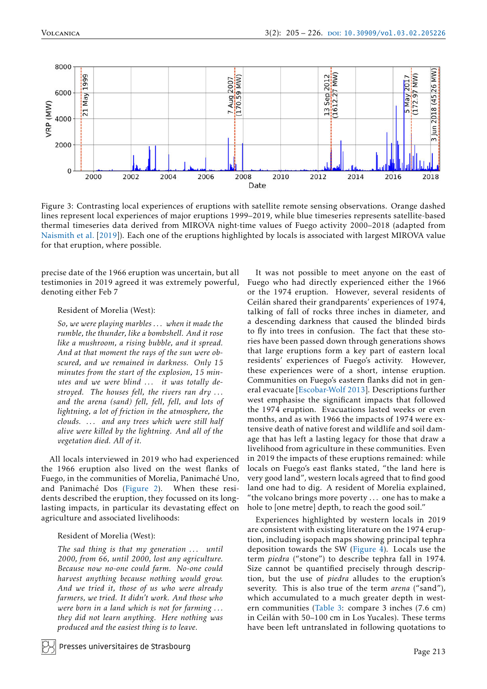<span id="page-8-0"></span>

Figure 3: Contrasting local experiences of eruptions with satellite remote sensing observations. Orange dashed lines represent local experiences of major eruptions 1999–2019, while blue timeseries represents satellite-based thermal timeseries data derived from MIROVA night-time values of Fuego activity 2000–2018 (adapted from [Naismith et al.](#page-21-2) [2019]). Each one of the eruptions highlighted by locals is associated with largest MIROVA value for that eruption, where possible.

precise date of the 1966 eruption was uncertain, but all testimonies in 2019 agreed it was extremely powerful, denoting either Feb 7

#### Resident of Morelia (West):

*So, we were playing marbles . . . when it made the rumble, the thunder, like a bombshell. And it rose like a mushroom, a rising bubble, and it spread. And at that moment the rays of the sun were obscured, and we remained in darkness. Only 15 minutes from the start of the explosion, 15 minutes and we were blind . . . it was totally destroyed. The houses fell, the rivers ran dry . . . and the arena (sand) fell, fell, fell, and lots of lightning, a lot of friction in the atmosphere, the clouds. . . . and any trees which were still half alive were killed by the lightning. And all of the vegetation died. All of it.*

All locals interviewed in 2019 who had experienced the 1966 eruption also lived on the west flanks of Fuego, in the communities of Morelia, Panimaché Uno, and Panimaché Dos [\(Figure 2\)](#page-6-0). When these residents described the eruption, they focussed on its longlasting impacts, in particular its devastating effect on agriculture and associated livelihoods:

#### Resident of Morelia (West):

*The sad thing is that my generation . . . until 2000, from 66, until 2000, lost any agriculture. Because now no-one could farm. No-one could harvest anything because nothing would grow. And we tried it, those of us who were already farmers, we tried. It didn't work. And those who were born in a land which is not for farming . . . they did not learn anything. Here nothing was produced and the easiest thing is to leave.*

Presses universitaires de �rasbourg

It was not possible to meet anyone on the east of Fuego who had directly experienced either the 1966 or the 1974 eruption. However, several residents of Ceilán shared their grandparents' experiences of 1974, talking of fall of rocks three inches in diameter, and a descending darkness that caused the blinded birds to fly into trees in confusion. The fact that these stories have been passed down through generations shows that large eruptions form a key part of eastern local residents' experiences of Fuego's activity. However, these experiences were of a short, intense eruption. Communities on Fuego's eastern flanks did not in general evacuate [\[Escobar-Wolf 2013\]](#page-20-20). Descriptions further west emphasise the significant impacts that followed the 1974 eruption. Evacuations lasted weeks or even months, and as with 1966 the impacts of 1974 were extensive death of native forest and wildlife and soil damage that has left a lasting legacy for those that draw a livelihood from agriculture in these communities. Even in 2019 the impacts of these eruptions remained: while locals on Fuego's east flanks stated, "the land here is very good land", western locals agreed that to find good land one had to dig. A resident of Morelia explained, "the volcano brings more poverty . . . one has to make a hole to [one metre] depth, to reach the good soil."

Experiences highlighted by western locals in 2019 are consistent with existing literature on the 1974 eruption, including isopach maps showing principal tephra deposition towards the SW [\(Figure 4\)](#page-9-0). Locals use the term *piedra* ("stone") to describe tephra fall in 1974. Size cannot be quantified precisely through description, but the use of *piedra* alludes to the eruption's severity. This is also true of the term *arena* ("sand"), which accumulated to a much greater depth in western communities [\(Table 3:](#page-9-1) compare 3 inches (7.6 cm) in Ceilán with 50–100 cm in Los Yucales). These terms have been left untranslated in following quotations to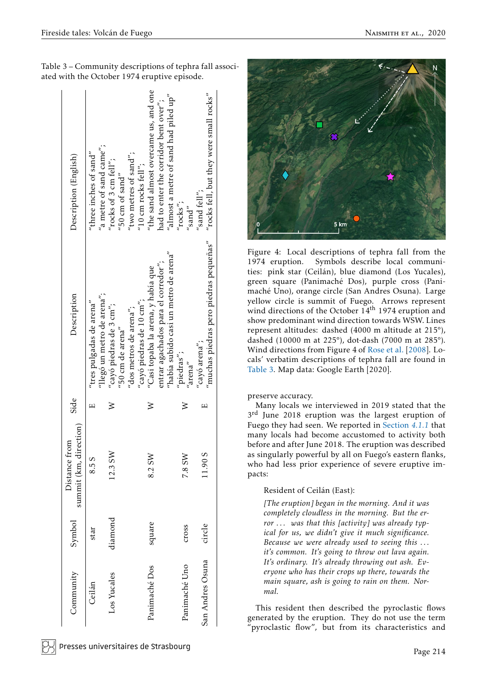| Community        | Symbol          | summit (km, direction)<br>Distance from | Side | Description                                                                   | Description (English)                                                           |
|------------------|-----------------|-----------------------------------------|------|-------------------------------------------------------------------------------|---------------------------------------------------------------------------------|
| Ceilán           | star            | 8.58                                    |      | "llegó un metro de arena";<br>"tres pulgadas de arena"                        | "a metre of sand came";<br>"three inches of $sand$ "                            |
| Los Yucales      | diamond         | 12.3 SW                                 |      | "cayó piedras de 3 cm";<br>$^{\prime\prime}$ 50 cm de arena $^{\prime\prime}$ | "rocks of 3 cm fell";<br>$^{\prime\prime}$ 50 cm of sand"                       |
|                  |                 |                                         |      | "cayó piedras de 10 cm";<br>"dos metros de arena";                            | "two metres of sand";<br>$^{\prime\prime}$ 10 cm rocks fell $^{\prime\prime}$ ; |
| Panimaché Dos    | square          | 8.2 SW                                  | ≥    | entrar agachados para el corredor";<br>"Casi topaba la arena, y había que     | "the sand almost overcame us, and one<br>had to enter the corridor bent over";  |
|                  |                 |                                         |      | "había subido casi un metro de arena"                                         | "almost a metre of sand had piled $up''$                                        |
| Panimaché Uno    | $\frac{1}{100}$ | 7.8 SW                                  |      | "piedras";<br>ʻarena''                                                        | $r\text{ocks}$<br>$^{\prime\prime}$ sand"                                       |
| San Andres Osuna | circle          | 11.905                                  | щ    | "muchas piedras pero piedras pequeñas"<br>"cayó arena";                       | "rocks fell, but they were small rocks"<br>$^{\prime\prime}$ sand fell";        |
|                  |                 |                                         |      |                                                                               |                                                                                 |

<span id="page-9-1"></span>Table 3 – Community descriptions of tephra fall associated with the October 1974 eruptive episode.

<span id="page-9-0"></span>

Figure 4: Local descriptions of tephra fall from the 1974 eruption. Symbols describe local communities: pink star (Ceilán), blue diamond (Los Yucales), green square (Panimaché Dos), purple cross (Panimaché Uno), orange circle (San Andres Osuna). Large yellow circle is summit of Fuego. Arrows represent wind directions of the October 14<sup>th</sup> 1974 eruption and show predominant wind direction towards WSW. Lines represent altitudes: dashed (4000 m altitude at 215°), dashed (10000 m at 225°), dot-dash (7000 m at 285°). Wind directions from Figure 4 of [Rose et al.](#page-21-13) [2008]. Locals' verbatim descriptions of tephra fall are found in [Table 3.](#page-9-1) Map data: Google Earth [2020].

preserve accuracy.

Many locals we interviewed in 2019 stated that the 3<sup>rd</sup> June 2018 eruption was the largest eruption of Fuego they had seen. We reported in [Section](#page-7-2) *4.1.1* that many locals had become accustomed to activity both before and after June 2018. The eruption was described as singularly powerful by all on Fuego's eastern flanks, who had less prior experience of severe eruptive impacts:

# Resident of Ceilán (East):

*[The eruption] began in the morning. And it was completely cloudless in the morning. But the error . . . was that this [activity] was already typical for us, we didn't give it much significance. Because we were already used to seeing this . . . it's common. It's going to throw out lava again. It's ordinary. It's already throwing out ash. Everyone who has their crops up there, towards the main square, ash is going to rain on them. Normal.*

This resident then described the pyroclastic flows generated by the eruption. They do not use the term pyroclastic flow", but from its characteristics and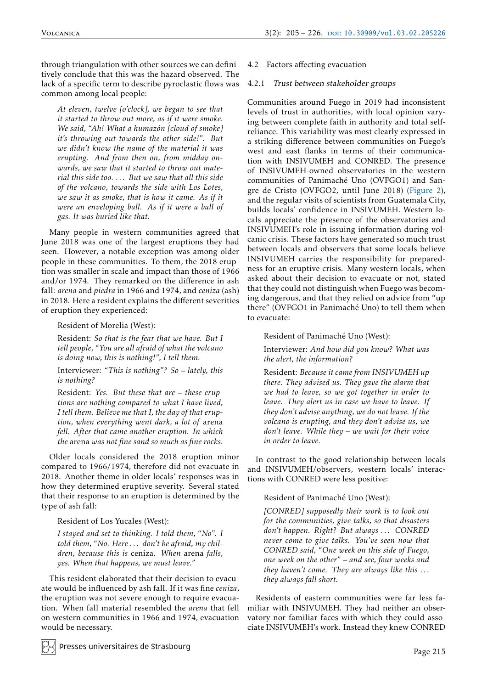through triangulation with other sources we can definitively conclude that this was the hazard observed. The lack of a specific term to describe pyroclastic flows was common among local people:

*At eleven, twelve [o'clock], we began to see that it started to throw out more, as if it were smoke. We said, "Ah! What a humazón [cloud of smoke] it's throwing out towards the other side!". But we didn't know the name of the material it was erupting. And from then on, from midday onwards, we saw that it started to throw out material this side too. . . . But we saw that all this side of the volcano, towards the side with Los Lotes, we saw it as smoke, that is how it came. As if it were an enveloping ball. As if it were a ball of gas. It was buried like that.*

Many people in western communities agreed that June 2018 was one of the largest eruptions they had seen. However, a notable exception was among older people in these communities. To them, the 2018 eruption was smaller in scale and impact than those of 1966 and/or 1974. They remarked on the difference in ash fall: *arena* and *piedra* in 1966 and 1974, and *ceniza* (ash) in 2018. Here a resident explains the different severities of eruption they experienced:

Resident of Morelia (West):

Resident: *So that is the fear that we have. But I tell people, "You are all afraid of what the volcano is doing now, this is nothing!", I tell them.*

Interviewer: *"This is nothing"? So – lately, this is nothing?*

Resident: *Yes. But these that are – these eruptions are nothing compared to what I have lived, I tell them. Believe me that I, the day of that eruption, when everything went dark, a lot of* arena *fell. After that came another eruption. In which the* arena *was not fine sand so much as fine rocks.*

Older locals considered the 2018 eruption minor compared to 1966/1974, therefore did not evacuate in 2018. Another theme in older locals' responses was in how they determined eruptive severity. Several stated that their response to an eruption is determined by the type of ash fall:

# Resident of Los Yucales (West):

*I stayed and set to thinking. I told them, "No". I told them, "No. Here . . . don't be afraid, my children, because this is* ceniza*. When* arena *falls, yes. When that happens, we must leave."*

This resident elaborated that their decision to evacuate would be influenced by ash fall. If it was fine *ceniza*, the eruption was not severe enough to require evacuation. When fall material resembled the *arena* that fell on western communities in 1966 and 1974, evacuation would be necessary.

# <span id="page-10-0"></span>4.2 Factors affecting evacuation

# <span id="page-10-1"></span>4.2.1 Trust between stakeholder groups

Communities around Fuego in 2019 had inconsistent levels of trust in authorities, with local opinion varying between complete faith in authority and total selfreliance. This variability was most clearly expressed in a striking difference between communities on Fuego's west and east flanks in terms of their communication with INSIVUMEH and CONRED. The presence of INSIVUMEH-owned observatories in the western communities of Panimaché Uno (OVFGO1) and Sangre de Cristo (OVFGO2, until June 2018) [\(Figure 2\)](#page-6-0), and the regular visits of scientists from Guatemala City, builds locals' confidence in INSIVUMEH. Western locals appreciate the presence of the observatories and INSIVUMEH's role in issuing information during volcanic crisis. These factors have generated so much trust between locals and observers that some locals believe INSIVUMEH carries the responsibility for preparedness for an eruptive crisis. Many western locals, when asked about their decision to evacuate or not, stated that they could not distinguish when Fuego was becoming dangerous, and that they relied on advice from "up there" (OVFGO1 in Panimaché Uno) to tell them when to evacuate:

Resident of Panimaché Uno (West):

Interviewer: *And how did you know? What was the alert, the information?*

Resident: *Because it came from INSIVUMEH up there. They advised us. They gave the alarm that we had to leave, so we got together in order to leave. They alert us in case we have to leave. If they don't advise anything, we do not leave. If the volcano is erupting, and they don't advise us, we don't leave. While they – we wait for their voice in order to leave.*

In contrast to the good relationship between locals and INSIVUMEH/observers, western locals' interactions with CONRED were less positive:

## Resident of Panimaché Uno (West):

*[CONRED] supposedly their work is to look out for the communities, give talks, so that disasters don't happen. Right? But always . . . CONRED never come to give talks. You've seen now that CONRED said, "One week on this side of Fuego, one week on the other" – and see, four weeks and they haven't come. They are always like this . . . they always fall short.*

Residents of eastern communities were far less familiar with INSIVUMEH. They had neither an observatory nor familiar faces with which they could associate INSIVUMEH's work. Instead they knew CONRED

Presses universitaires de �rasbourg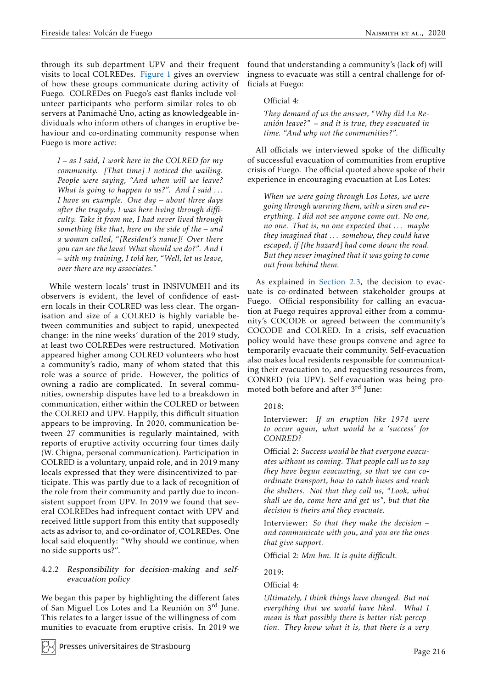through its sub-department UPV and their frequent visits to local COLREDes. [Figure 1](#page-4-0) gives an overview of how these groups communicate during activity of Fuego. COLREDes on Fuego's east flanks include volunteer participants who perform similar roles to observers at Panimaché Uno, acting as knowledgeable individuals who inform others of changes in eruptive behaviour and co-ordinating community response when Fuego is more active:

*I – as I said, I work here in the COLRED for my community. [That time] I noticed the wailing. People were saying, "And when will we leave? What is going to happen to us?". And I said . . . I have an example. One day – about three days after the tragedy, I was here living through difficulty. Take it from me, I had never lived through something like that, here on the side of the – and a woman called, "[Resident's name]! Over there you can see the lava! What should we do?". And I – with my training, I told her, "Well, let us leave, over there are my associates."*

While western locals' trust in INSIVUMEH and its observers is evident, the level of confidence of eastern locals in their COLRED was less clear. The organisation and size of a COLRED is highly variable between communities and subject to rapid, unexpected change: in the nine weeks' duration of the 2019 study, at least two COLREDes were restructured. Motivation appeared higher among COLRED volunteers who host a community's radio, many of whom stated that this role was a source of pride. However, the politics of owning a radio are complicated. In several communities, ownership disputes have led to a breakdown in communication, either within the COLRED or between the COLRED and UPV. Happily, this difficult situation appears to be improving. In 2020, communication between 27 communities is regularly maintained, with reports of eruptive activity occurring four times daily (W. Chigna, personal communication). Participation in COLRED is a voluntary, unpaid role, and in 2019 many locals expressed that they were disincentivized to participate. This was partly due to a lack of recognition of the role from their community and partly due to inconsistent support from UPV. In 2019 we found that several COLREDes had infrequent contact with UPV and received little support from this entity that supposedly acts as advisor to, and co-ordinator of, COLREDes. One local said eloquently: "Why should we continue, when no side supports us?".

## <span id="page-11-0"></span>4.2.2 Responsibility for decision-making and selfevacuation policy

We began this paper by highlighting the different fates of San Miguel Los Lotes and La Reunión on 3rd June. This relates to a larger issue of the willingness of communities to evacuate from eruptive crisis. In 2019 we

Presses universitaires de Strasbourg

found that understanding a community's (lack of) willingness to evacuate was still a central challenge for officials at Fuego:

# Official 4:

*They demand of us the answer, "Why did La Reunión leave?" – and it is true, they evacuated in time. "And why not the communities?".*

All officials we interviewed spoke of the difficulty of successful evacuation of communities from eruptive crisis of Fuego. The official quoted above spoke of their experience in encouraging evacuation at Los Lotes:

*When we were going through Los Lotes, we were going through warning them, with a siren and everything. I did not see anyone come out. No one, no one. That is, no one expected that . . . maybe they imagined that . . . somehow, they could have escaped, if [the hazard] had come down the road. But they never imagined that it was going to come out from behind them.*

As explained in [Section 2.3,](#page-4-2) the decision to evacuate is co-ordinated between stakeholder groups at Fuego. Official responsibility for calling an evacuation at Fuego requires approval either from a community's COCODE or agreed between the community's COCODE and COLRED. In a crisis, self-evacuation policy would have these groups convene and agree to temporarily evacuate their community. Self-evacuation also makes local residents responsible for communicating their evacuation to, and requesting resources from, CONRED (via UPV). Self-evacuation was being promoted both before and after 3<sup>rd</sup> June:

## 2018:

Interviewer: *If an eruption like 1974 were to occur again, what would be a 'success' for CONRED?*

Official 2: *Success would be that everyone evacuates without us coming. That people call us to say they have begun evacuating, so that we can coordinate transport, how to catch buses and reach the shelters. Not that they call us, "Look, what shall we do, come here and get us", but that the decision is theirs and they evacuate.*

Interviewer: *So that they make the decision – and communicate with you, and you are the ones that give support.*

Official 2: *Mm-hm. It is quite difficult.*

2019:

Official 4:

*Ultimately, I think things have changed. But not everything that we would have liked. What I mean is that possibly there is better risk perception. They know what it is, that there is a very*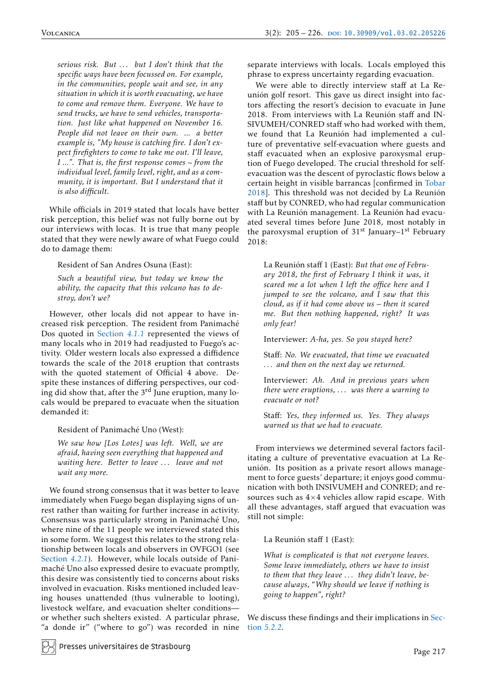*serious risk. But . . . but I don't think that the specific ways have been focussed on. For example, in the communities, people wait and see, in any situation in which it is worth evacuating, we have to come and remove them. Everyone. We have to send trucks, we have to send vehicles, transportation. Just like what happened on November 16. People did not leave on their own. ... a better example is, "My house is catching fire. I don't expect firefighters to come to take me out. I'll leave, I ...". That is, the first response comes – from the individual level, family level, right, and as a community, it is important. But I understand that it is also difficult.*

While officials in 2019 stated that locals have better risk perception, this belief was not fully borne out by our interviews with locas. It is true that many people stated that they were newly aware of what Fuego could do to damage them:

# Resident of San Andres Osuna (East):

*Such a beautiful view, but today we know the ability, the capacity that this volcano has to destroy, don't we?*

However, other locals did not appear to have increased risk perception. The resident from Panimaché Dos quoted in [Section](#page-7-2) *4.1.1* represented the views of many locals who in 2019 had readjusted to Fuego's activity. Older western locals also expressed a diffidence towards the scale of the 2018 eruption that contrasts with the quoted statement of Official 4 above. Despite these instances of differing perspectives, our coding did show that, after the  $3<sup>rd</sup>$  June eruption, many locals would be prepared to evacuate when the situation demanded it:

#### Resident of Panimaché Uno (West):

*We saw how [Los Lotes] was left. Well, we are afraid, having seen everything that happened and waiting here. Better to leave . . . leave and not wait any more.*

We found strong consensus that it was better to leave immediately when Fuego began displaying signs of unrest rather than waiting for further increase in activity. Consensus was particularly strong in Panimaché Uno, where nine of the 11 people we interviewed stated this in some form. We suggest this relates to the strong relationship between locals and observers in OVFGO1 (see [Section](#page-10-1) *4.2.1*). However, while locals outside of Panimaché Uno also expressed desire to evacuate promptly, this desire was consistently tied to concerns about risks involved in evacuation. Risks mentioned included leaving houses unattended (thus vulnerable to looting), livestock welfare, and evacuation shelter conditions or whether such shelters existed. A particular phrase, "a donde ir" ("where to go") was recorded in nine separate interviews with locals. Locals employed this phrase to express uncertainty regarding evacuation.

We were able to directly interview staff at La Reunión golf resort. This gave us direct insight into factors affecting the resort's decision to evacuate in June 2018. From interviews with La Reunión staff and IN-SIVUMEH/CONRED staff who had worked with them, we found that La Reunión had implemented a culture of preventative self-evacuation where guests and staff evacuated when an explosive paroxysmal eruption of Fuego developed. The crucial threshold for selfevacuation was the descent of pyroclastic flows below a certain height in visible barrancas [confirmed in [Tobar](#page-21-1) [2018\]](#page-21-1). This threshold was not decided by La Reunión staff but by CONRED, who had regular communication with La Reunión management. La Reunión had evacuated several times before June 2018, most notably in the paroxysmal eruption of  $31<sup>st</sup>$  January– $1<sup>st</sup>$  February 2018:

La Reunión staff 1 (East): *But that one of February 2018, the first of February I think it was, it scared me a lot when I left the office here and I jumped to see the volcano, and I saw that this cloud, as if it had come above us – then it scared me. But then nothing happened, right? It was only fear!*

Interviewer: *A-ha, yes. So you stayed here?*

Staff: *No. We evacuated, that time we evacuated . . . and then on the next day we returned.*

Interviewer: *Ah. And in previous years when there were eruptions, . . . was there a warning to evacuate or not?*

Staff: *Yes, they informed us. Yes. They always warned us that we had to evacuate.*

From interviews we determined several factors facilitating a culture of preventative evacuation at La Reunión. Its position as a private resort allows management to force guests' departure; it enjoys good communication with both INSIVUMEH and CONRED; and resources such as  $4\times4$  vehicles allow rapid escape. With all these advantages, staff argued that evacuation was still not simple:

La Reunión staff 1 (East):

*What is complicated is that not everyone leaves. Some leave immediately, others we have to insist to them that they leave . . . they didn't leave, because always, "Why should we leave if nothing is going to happen", right?*

We discuss these findings and their implications in [Sec](#page-15-0)tion *[5.2.2](#page-15-0)*.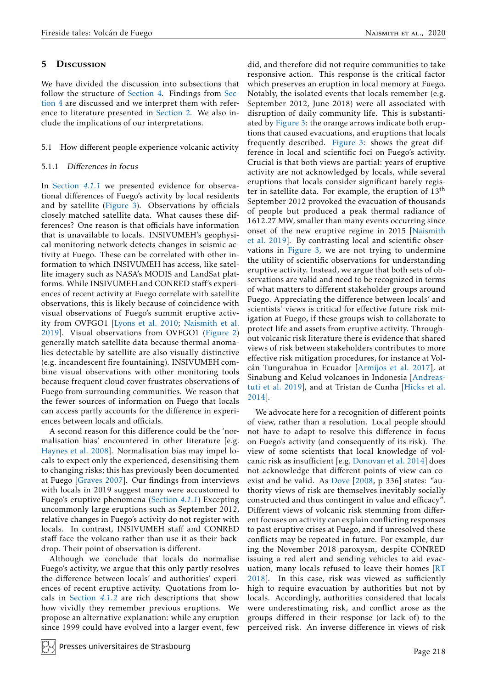# <span id="page-13-0"></span>5 Discussion

We have divided the discussion into subsections that follow the structure of [Section 4.](#page-7-0) Findings from [Sec](#page-7-0)[tion 4](#page-7-0) are discussed and we interpret them with reference to literature presented in [Section 2.](#page-1-0) We also include the implications of our interpretations.

# 5.1 How different people experience volcanic activity

# <span id="page-13-1"></span>5.1.1 Differences in focus

In [Section](#page-7-2) *4.1.1* we presented evidence for observational differences of Fuego's activity by local residents and by satellite [\(Figure 3\)](#page-8-0). Observations by officials closely matched satellite data. What causes these differences? One reason is that officials have information that is unavailable to locals. INSIVUMEH's geophysical monitoring network detects changes in seismic activity at Fuego. These can be correlated with other information to which INSIVUMEH has access, like satellite imagery such as NASA's MODIS and LandSat platforms. While INSIVUMEH and CONRED staff's experiences of recent activity at Fuego correlate with satellite observations, this is likely because of coincidence with visual observations of Fuego's summit eruptive activity from OVFGO1 [\[Lyons et al. 2010;](#page-21-20) [Naismith et al.](#page-21-2) [2019\]](#page-21-2). Visual observations from OVFGO1 [\(Figure 2\)](#page-6-0) generally match satellite data because thermal anomalies detectable by satellite are also visually distinctive (e.g. incandescent fire fountaining). INSIVUMEH combine visual observations with other monitoring tools because frequent cloud cover frustrates observations of Fuego from surrounding communities. We reason that the fewer sources of information on Fuego that locals can access partly accounts for the difference in experiences between locals and officials.

A second reason for this difference could be the 'normalisation bias' encountered in other literature [e.g. [Haynes et al. 2008\]](#page-20-24). Normalisation bias may impel locals to expect only the experienced, desensitising them to changing risks; this has previously been documented at Fuego [\[Graves 2007\]](#page-20-19). Our findings from interviews with locals in 2019 suggest many were accustomed to Fuego's eruptive phenomena [\(Section](#page-7-2) *4.1.1*) Excepting uncommonly large eruptions such as September 2012, relative changes in Fuego's activity do not register with locals. In contrast, INSIVUMEH staff and CONRED staff face the volcano rather than use it as their backdrop. Their point of observation is different.

Although we conclude that locals do normalise Fuego's activity, we argue that this only partly resolves the difference between locals' and authorities' experiences of recent eruptive activity. Quotations from locals in [Section](#page-7-3) *4.1.2* are rich descriptions that show how vividly they remember previous eruptions. We propose an alternative explanation: while any eruption since 1999 could have evolved into a larger event, few

did, and therefore did not require communities to take responsive action. This response is the critical factor which preserves an eruption in local memory at Fuego. Notably, the isolated events that locals remember (e.g. September 2012, June 2018) were all associated with disruption of daily community life. This is substantiated by [Figure 3:](#page-8-0) the orange arrows indicate both eruptions that caused evacuations, and eruptions that locals frequently described. [Figure 3:](#page-8-0) shows the great difference in local and scientific foci on Fuego's activity. Crucial is that both views are partial: years of eruptive activity are not acknowledged by locals, while several eruptions that locals consider significant barely register in satellite data. For example, the eruption of 13th September 2012 provoked the evacuation of thousands of people but produced a peak thermal radiance of 1612.27 MW, smaller than many events occurring since onset of the new eruptive regime in 2015 [\[Naismith](#page-21-2) [et al. 2019\]](#page-21-2). By contrasting local and scientific observations in [Figure 3,](#page-8-0) we are not trying to undermine the utility of scientific observations for understanding eruptive activity. Instead, we argue that both sets of observations are valid and need to be recognized in terms of what matters to different stakeholder groups around Fuego. Appreciating the difference between locals' and scientists' views is critical for effective future risk mitigation at Fuego, if these groups wish to collaborate to protect life and assets from eruptive activity. Throughout volcanic risk literature there is evidence that shared views of risk between stakeholders contributes to more effective risk mitigation procedures, for instance at Volcán Tungurahua in Ecuador [\[Armijos et al. 2017\]](#page-19-5), at Sinabung and Kelud volcanoes in Indonesia [\[Andreas](#page-19-3)[tuti et al. 2019\]](#page-19-3), and at Tristan de Cunha [\[Hicks et al.](#page-21-21) [2014\]](#page-21-21).

We advocate here for a recognition of different points of view, rather than a resolution. Local people should not have to adapt to resolve this difference in focus on Fuego's activity (and consequently of its risk). The view of some scientists that local knowledge of volcanic risk as insufficient [e.g. [Donovan et al. 2014\]](#page-20-6) does not acknowledge that different points of view can coexist and be valid. As Dove [\[2008,](#page-20-14) p 336] states: "authority views of risk are themselves inevitably socially constructed and thus contingent in value and efficacy". Different views of volcanic risk stemming from different focuses on activity can explain conflicting responses to past eruptive crises at Fuego, and if unresolved these conflicts may be repeated in future. For example, during the November 2018 paroxysm, despite CONRED issuing a red alert and sending vehicles to aid evacuation, many locals refused to leave their homes [\[RT](#page-21-22) [2018\]](#page-21-22). In this case, risk was viewed as sufficiently high to require evacuation by authorities but not by locals. Accordingly, authorities considered that locals were underestimating risk, and conflict arose as the groups differed in their response (or lack of) to the perceived risk. An inverse difference in views of risk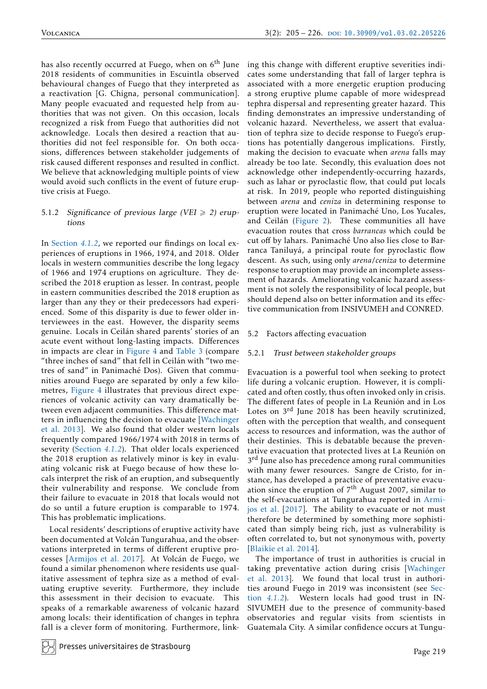has also recently occurred at Fuego, when on  $6<sup>th</sup>$  June 2018 residents of communities in Escuintla observed behavioural changes of Fuego that they interpreted as a reactivation [G. Chigna, personal communication]. Many people evacuated and requested help from authorities that was not given. On this occasion, locals recognized a risk from Fuego that authorities did not acknowledge. Locals then desired a reaction that authorities did not feel responsible for. On both occasions, differences between stakeholder judgements of risk caused different responses and resulted in conflict. We believe that acknowledging multiple points of view would avoid such conflicts in the event of future eruptive crisis at Fuego.

#### 5.1.2 Significance of previous large (VEI  $\ge$  2) eruptions

In [Section](#page-7-3) *4.1.2*, we reported our findings on local experiences of eruptions in 1966, 1974, and 2018. Older locals in western communities describe the long legacy of 1966 and 1974 eruptions on agriculture. They described the 2018 eruption as lesser. In contrast, people in eastern communities described the 2018 eruption as larger than any they or their predecessors had experienced. Some of this disparity is due to fewer older interviewees in the east. However, the disparity seems genuine. Locals in Ceilán shared parents' stories of an acute event without long-lasting impacts. Differences in impacts are clear in [Figure 4](#page-9-0) and [Table 3](#page-9-1) (compare "three inches of sand" that fell in Ceilán with "two metres of sand" in Panimaché Dos). Given that communities around Fuego are separated by only a few kilometres, [Figure 4](#page-9-0) illustrates that previous direct experiences of volcanic activity can vary dramatically between even adjacent communities. This difference matters in influencing the decision to evacuate [\[Wachinger](#page-21-7) [et al. 2013\]](#page-21-7). We also found that older western locals frequently compared 1966/1974 with 2018 in terms of severity [\(Section](#page-7-3) *4.1.2*). That older locals experienced the 2018 eruption as relatively minor is key in evaluating volcanic risk at Fuego because of how these locals interpret the risk of an eruption, and subsequently their vulnerability and response. We conclude from their failure to evacuate in 2018 that locals would not do so until a future eruption is comparable to 1974. This has problematic implications.

Local residents' descriptions of eruptive activity have been documented at Volcán Tungurahua, and the observations interpreted in terms of different eruptive processes [\[Armijos et al. 2017\]](#page-19-5). At Volcán de Fuego, we found a similar phenomenon where residents use qualitative assessment of tephra size as a method of evaluating eruptive severity. Furthermore, they include this assessment in their decision to evacuate. This speaks of a remarkable awareness of volcanic hazard among locals: their identification of changes in tephra fall is a clever form of monitoring. Furthermore, linking this change with different eruptive severities indicates some understanding that fall of larger tephra is associated with a more energetic eruption producing a strong eruptive plume capable of more widespread tephra dispersal and representing greater hazard. This finding demonstrates an impressive understanding of volcanic hazard. Nevertheless, we assert that evaluation of tephra size to decide response to Fuego's eruptions has potentially dangerous implications. Firstly, making the decision to evacuate when *arena* falls may already be too late. Secondly, this evaluation does not acknowledge other independently-occurring hazards, such as lahar or pyroclastic flow, that could put locals at risk. In 2019, people who reported distinguishing between *arena* and *ceniza* in determining response to eruption were located in Panimaché Uno, Los Yucales, and Ceilán [\(Figure 2\)](#page-6-0). These communities all have evacuation routes that cross *barrancas* which could be cut off by lahars. Panimaché Uno also lies close to Barranca Taniluyá, a principal route for pyroclastic flow descent. As such, using only *arena*/*ceniza* to determine response to eruption may provide an incomplete assessment of hazards. Ameliorating volcanic hazard assessment is not solely the responsibility of local people, but should depend also on better information and its effective communication from INSIVUMEH and CONRED.

## 5.2 Factors affecting evacuation

#### 5.2.1 Trust between stakeholder groups

Evacuation is a powerful tool when seeking to protect life during a volcanic eruption. However, it is complicated and often costly, thus often invoked only in crisis. The different fates of people in La Reunión and in Los Lotes on 3rd June 2018 has been heavily scrutinized, often with the perception that wealth, and consequent access to resources and information, was the author of their destinies. This is debatable because the preventative evacuation that protected lives at La Reunión on 3<sup>rd</sup> June also has precedence among rural communities with many fewer resources. Sangre de Cristo, for instance, has developed a practice of preventative evacuation since the eruption of  $7<sup>th</sup>$  August 2007, similar to the self-evacuations at Tungurahua reported in [Armi](#page-19-5)[jos et al.](#page-19-5) [2017]. The ability to evacuate or not must therefore be determined by something more sophisticated than simply being rich, just as vulnerability is often correlated to, but not synonymous with, poverty [\[Blaikie et al. 2014\]](#page-20-2).

The importance of trust in authorities is crucial in taking preventative action during crisis [\[Wachinger](#page-21-7) [et al. 2013\]](#page-21-7). We found that local trust in authorities around Fuego in 2019 was inconsistent (see [Sec](#page-7-3)tion *[4.1.2](#page-7-3)*). Western locals had good trust in IN-SIVUMEH due to the presence of community-based observatories and regular visits from scientists in Guatemala City. A similar confidence occurs at Tungu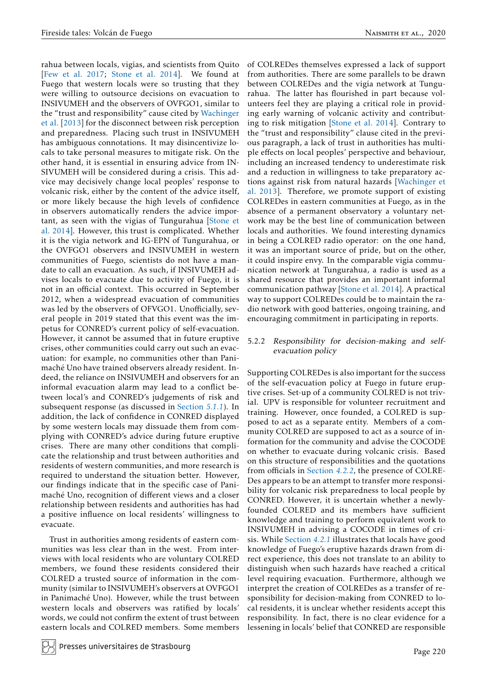rahua between locals, vigías, and scientists from Quito [\[Few et al. 2017;](#page-20-16) [Stone et al. 2014\]](#page-21-14). We found at Fuego that western locals were so trusting that they were willing to outsource decisions on evacuation to INSIVUMEH and the observers of OVFGO1, similar to the "trust and responsibility" cause cited by [Wachinger](#page-21-7) et al. [\[2013\]](#page-21-7) for the disconnect between risk perception and preparedness. Placing such trust in INSIVUMEH has ambiguous connotations. It may disincentivize locals to take personal measures to mitigate risk. On the other hand, it is essential in ensuring advice from IN-SIVUMEH will be considered during a crisis. This advice may decisively change local peoples' response to volcanic risk, either by the content of the advice itself, or more likely because the high levels of confidence in observers automatically renders the advice important, as seen with the vigías of Tungurahua [\[Stone et](#page-21-14) [al. 2014\]](#page-21-14). However, this trust is complicated. Whether it is the vigía network and IG-EPN of Tungurahua, or the OVFGO1 observers and INSIVUMEH in western communities of Fuego, scientists do not have a mandate to call an evacuation. As such, if INSIVUMEH advises locals to evacuate due to activity of Fuego, it is not in an official context. This occurred in September 2012, when a widespread evacuation of communities was led by the observers of OFVGO1. Unofficially, several people in 2019 stated that this event was the impetus for CONRED's current policy of self-evacuation. However, it cannot be assumed that in future eruptive crises, other communities could carry out such an evacuation: for example, no communities other than Panimaché Uno have trained observers already resident. Indeed, the reliance on INSIVUMEH and observers for an informal evacuation alarm may lead to a conflict between local's and CONRED's judgements of risk and subsequent response (as discussed in [Section](#page-13-1) *5.1.1*). In addition, the lack of confidence in CONRED displayed by some western locals may dissuade them from complying with CONRED's advice during future eruptive crises. There are many other conditions that complicate the relationship and trust between authorities and residents of western communities, and more research is required to understand the situation better. However, our findings indicate that in the specific case of Panimaché Uno, recognition of different views and a closer relationship between residents and authorities has had a positive influence on local residents' willingness to evacuate.

Trust in authorities among residents of eastern communities was less clear than in the west. From interviews with local residents who are voluntary COLRED members, we found these residents considered their COLRED a trusted source of information in the community (similar to INSIVUMEH's observers at OVFGO1 in Panimaché Uno). However, while the trust between western locals and observers was ratified by locals' words, we could not confirm the extent of trust between eastern locals and COLRED members. Some members

of COLREDes themselves expressed a lack of support from authorities. There are some parallels to be drawn between COLREDes and the vigía network at Tungurahua. The latter has flourished in part because volunteers feel they are playing a critical role in providing early warning of volcanic activity and contributing to risk mitigation [\[Stone et al. 2014\]](#page-21-14). Contrary to the "trust and responsibility" clause cited in the previous paragraph, a lack of trust in authorities has multiple effects on local peoples' perspective and behaviour, including an increased tendency to underestimate risk and a reduction in willingness to take preparatory actions against risk from natural hazards [\[Wachinger et](#page-21-7) [al. 2013\]](#page-21-7). Therefore, we promote support of existing COLREDes in eastern communities at Fuego, as in the absence of a permanent observatory a voluntary network may be the best line of communication between locals and authorities. We found interesting dynamics in being a COLRED radio operator: on the one hand, it was an important source of pride, but on the other, it could inspire envy. In the comparable vigía communication network at Tungurahua, a radio is used as a shared resource that provides an important informal communication pathway [\[Stone et al. 2014\]](#page-21-14). A practical way to support COLREDes could be to maintain the radio network with good batteries, ongoing training, and encouraging commitment in participating in reports.

#### <span id="page-15-0"></span>5.2.2 Responsibility for decision-making and selfevacuation policy

Supporting COLREDes is also important for the success of the self-evacuation policy at Fuego in future eruptive crises. Set-up of a community COLRED is not trivial. UPV is responsible for volunteer recruitment and training. However, once founded, a COLRED is supposed to act as a separate entity. Members of a community COLRED are supposed to act as a source of information for the community and advise the COCODE on whether to evacuate during volcanic crisis. Based on this structure of responsibilities and the quotations from officials in [Section](#page-11-0) *4.2.2*, the presence of COLRE-Des appears to be an attempt to transfer more responsibility for volcanic risk preparedness to local people by CONRED. However, it is uncertain whether a newlyfounded COLRED and its members have sufficient knowledge and training to perform equivalent work to INSIVUMEH in advising a COCODE in times of crisis. While [Section](#page-10-1) *4.2.1* illustrates that locals have good knowledge of Fuego's eruptive hazards drawn from direct experience, this does not translate to an ability to distinguish when such hazards have reached a critical level requiring evacuation. Furthermore, although we interpret the creation of COLREDes as a transfer of responsibility for decision-making from CONRED to local residents, it is unclear whether residents accept this responsibility. In fact, there is no clear evidence for a lessening in locals' belief that CONRED are responsible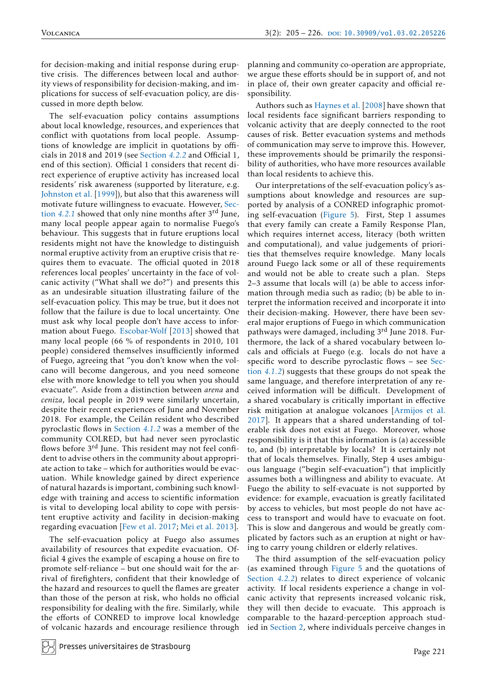for decision-making and initial response during eruptive crisis. The differences between local and authority views of responsibility for decision-making, and implications for success of self-evacuation policy, are discussed in more depth below.

The self-evacuation policy contains assumptions about local knowledge, resources, and experiences that conflict with quotations from local people. Assumptions of knowledge are implicit in quotations by officials in 2018 and 2019 (see [Section](#page-11-0) *4.2.2* and Official 1, end of this section). Official 1 considers that recent direct experience of eruptive activity has increased local residents' risk awareness (supported by literature, e.g. [Johnston et al.](#page-21-6) [1999]), but also that this awareness will motivate future willingness to evacuate. However, [Sec](#page-10-1)tion *[4.2.1](#page-10-1)* showed that only nine months after 3rd June, many local people appear again to normalise Fuego's behaviour. This suggests that in future eruptions local residents might not have the knowledge to distinguish normal eruptive activity from an eruptive crisis that requires them to evacuate. The official quoted in 2018 references local peoples' uncertainty in the face of volcanic activity ("What shall we do?") and presents this as an undesirable situation illustrating failure of the self-evacuation policy. This may be true, but it does not follow that the failure is due to local uncertainty. One must ask why local people don't have access to information about Fuego. [Escobar-Wolf](#page-20-20) [2013] showed that many local people (66 % of respondents in 2010, 101 people) considered themselves insufficiently informed of Fuego, agreeing that "you don't know when the volcano will become dangerous, and you need someone else with more knowledge to tell you when you should evacuate". Aside from a distinction between *arena* and *ceniza*, local people in 2019 were similarly uncertain, despite their recent experiences of June and November 2018. For example, the Ceilán resident who described pyroclastic flows in [Section](#page-7-3) *4.1.2* was a member of the community COLRED, but had never seen pyroclastic flows before 3<sup>rd</sup> June. This resident may not feel confident to advise others in the community about appropriate action to take – which for authorities would be evacuation. While knowledge gained by direct experience of natural hazards is important, combining such knowledge with training and access to scientific information is vital to developing local ability to cope with persistent eruptive activity and facility in decision-making regarding evacuation [\[Few et al. 2017;](#page-20-16) [Mei et al. 2013\]](#page-21-11).

The self-evacuation policy at Fuego also assumes availability of resources that expedite evacuation. Official 4 gives the example of escaping a house on fire to promote self-reliance – but one should wait for the arrival of firefighters, confident that their knowledge of the hazard and resources to quell the flames are greater than those of the person at risk, who holds no official responsibility for dealing with the fire. Similarly, while the efforts of CONRED to improve local knowledge of volcanic hazards and encourage resilience through

Presses universitaires de Strasbourg

planning and community co-operation are appropriate, we argue these efforts should be in support of, and not in place of, their own greater capacity and official responsibility.

Authors such as [Haynes et al.](#page-20-24) [2008] have shown that local residents face significant barriers responding to volcanic activity that are deeply connected to the root causes of risk. Better evacuation systems and methods of communication may serve to improve this. However, these improvements should be primarily the responsibility of authorities, who have more resources available than local residents to achieve this.

Our interpretations of the self-evacuation policy's assumptions about knowledge and resources are supported by analysis of a CONRED infographic promoting self-evacuation [\(Figure 5\)](#page-17-0). First, Step 1 assumes that every family can create a Family Response Plan, which requires internet access, literacy (both written and computational), and value judgements of priorities that themselves require knowledge. Many locals around Fuego lack some or all of these requirements and would not be able to create such a plan. Steps 2–3 assume that locals will (a) be able to access information through media such as radio; (b) be able to interpret the information received and incorporate it into their decision-making. However, there have been several major eruptions of Fuego in which communication pathways were damaged, including 3rd June 2018. Furthermore, the lack of a shared vocabulary between locals and officials at Fuego (e.g. locals do not have a specific word to describe pyroclastic flows – see [Sec](#page-7-3)tion *[4.1.2](#page-7-3)*) suggests that these groups do not speak the same language, and therefore interpretation of any received information will be difficult. Development of a shared vocabulary is critically important in effective risk mitigation at analogue volcanoes [\[Armijos et al.](#page-19-5) [2017\]](#page-19-5). It appears that a shared understanding of tolerable risk does not exist at Fuego. Moreover, whose responsibility is it that this information is (a) accessible to, and (b) interpretable by locals? It is certainly not that of locals themselves. Finally, Step 4 uses ambiguous language ("begin self-evacuation") that implicitly assumes both a willingness and ability to evacuate. At Fuego the ability to self-evacuate is not supported by evidence: for example, evacuation is greatly facilitated by access to vehicles, but most people do not have access to transport and would have to evacuate on foot. This is slow and dangerous and would be greatly complicated by factors such as an eruption at night or having to carry young children or elderly relatives.

The third assumption of the self-evacuation policy (as examined through [Figure 5](#page-17-0) and the quotations of [Section](#page-11-0) *4.2.2*) relates to direct experience of volcanic activity. If local residents experience a change in volcanic activity that represents increased volcanic risk, they will then decide to evacuate. This approach is comparable to the hazard-perception approach studied in [Section 2,](#page-1-0) where individuals perceive changes in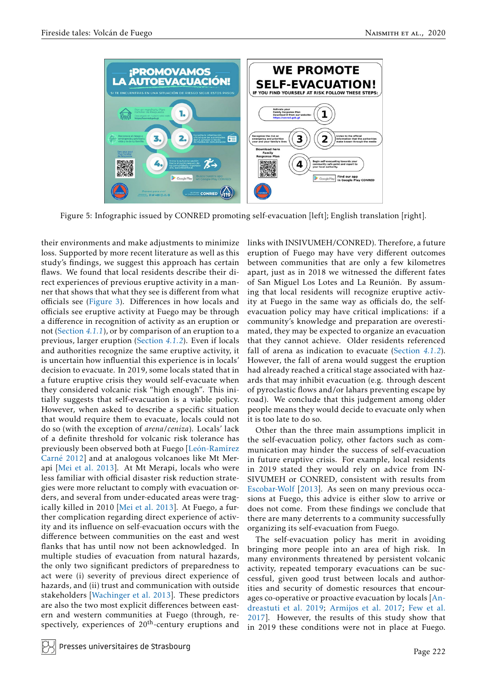<span id="page-17-0"></span>

Figure 5: Infographic issued by CONRED promoting self-evacuation [left]; English translation [right].

their environments and make adjustments to minimize loss. Supported by more recent literature as well as this study's findings, we suggest this approach has certain flaws. We found that local residents describe their direct experiences of previous eruptive activity in a manner that shows that what they see is different from what officials see [\(Figure 3\)](#page-8-0). Differences in how locals and officials see eruptive activity at Fuego may be through a difference in recognition of activity as an eruption or not [\(Section](#page-7-2) *4.1.1*), or by comparison of an eruption to a previous, larger eruption [\(Section](#page-7-3) *4.1.2*). Even if locals and authorities recognize the same eruptive activity, it is uncertain how influential this experience is in locals' decision to evacuate. In 2019, some locals stated that in a future eruptive crisis they would self-evacuate when they considered volcanic risk "high enough". This initially suggests that self-evacuation is a viable policy. However, when asked to describe a specific situation that would require them to evacuate, locals could not do so (with the exception of *arena*/*ceniza*). Locals' lack of a definite threshold for volcanic risk tolerance has previously been observed both at Fuego [\[León-Ramírez](#page-21-12) [Carné 2012\]](#page-21-12) and at analogous volcanoes like Mt Merapi [\[Mei et al. 2013\]](#page-21-11). At Mt Merapi, locals who were less familiar with official disaster risk reduction strategies were more reluctant to comply with evacuation orders, and several from under-educated areas were tragically killed in 2010 [\[Mei et al. 2013\]](#page-21-11). At Fuego, a further complication regarding direct experience of activity and its influence on self-evacuation occurs with the difference between communities on the east and west flanks that has until now not been acknowledged. In multiple studies of evacuation from natural hazards, the only two significant predictors of preparedness to act were (i) severity of previous direct experience of hazards, and (ii) trust and communication with outside stakeholders [\[Wachinger et al. 2013\]](#page-21-7). These predictors are also the two most explicit differences between eastern and western communities at Fuego (through, respectively, experiences of  $20<sup>th</sup>$ -century eruptions and

links with INSIVUMEH/CONRED). Therefore, a future eruption of Fuego may have very different outcomes between communities that are only a few kilometres apart, just as in 2018 we witnessed the different fates of San Miguel Los Lotes and La Reunión. By assuming that local residents will recognize eruptive activity at Fuego in the same way as officials do, the selfevacuation policy may have critical implications: if a community's knowledge and preparation are overestimated, they may be expected to organize an evacuation that they cannot achieve. Older residents referenced fall of arena as indication to evacuate [\(Section](#page-7-3) *4.1.2*). However, the fall of arena would suggest the eruption had already reached a critical stage associated with hazards that may inhibit evacuation (e.g. through descent of pyroclastic flows and/or lahars preventing escape by road). We conclude that this judgement among older people means they would decide to evacuate only when it is too late to do so.

Other than the three main assumptions implicit in the self-evacuation policy, other factors such as communication may hinder the success of self-evacuation in future eruptive crisis. For example, local residents in 2019 stated they would rely on advice from IN-SIVUMEH or CONRED, consistent with results from [Escobar-Wolf](#page-20-20) [2013]. As seen on many previous occasions at Fuego, this advice is either slow to arrive or does not come. From these findings we conclude that there are many deterrents to a community successfully organizing its self-evacuation from Fuego.

The self-evacuation policy has merit in avoiding bringing more people into an area of high risk. In many environments threatened by persistent volcanic activity, repeated temporary evacuations can be successful, given good trust between locals and authorities and security of domestic resources that encourages co-operative or proactive evacuation by locals [\[An](#page-19-3)[dreastuti et al. 2019;](#page-19-3) [Armijos et al. 2017;](#page-19-5) [Few et al.](#page-20-16) [2017\]](#page-20-16). However, the results of this study show that in 2019 these conditions were not in place at Fuego.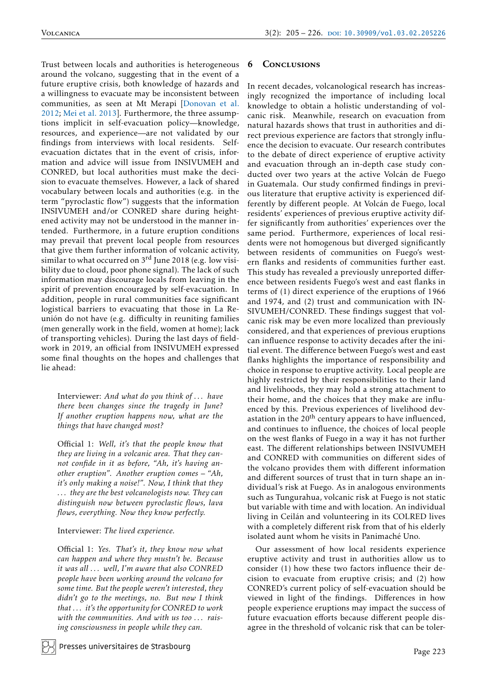Trust between locals and authorities is heterogeneous around the volcano, suggesting that in the event of a future eruptive crisis, both knowledge of hazards and a willingness to evacuate may be inconsistent between communities, as seen at Mt Merapi [\[Donovan et al.](#page-20-8) [2012;](#page-20-8) [Mei et al. 2013\]](#page-21-11). Furthermore, the three assumptions implicit in self-evacuation policy—knowledge, resources, and experience—are not validated by our findings from interviews with local residents. Selfevacuation dictates that in the event of crisis, information and advice will issue from INSIVUMEH and CONRED, but local authorities must make the decision to evacuate themselves. However, a lack of shared vocabulary between locals and authorities (e.g. in the term "pyroclastic flow") suggests that the information INSIVUMEH and/or CONRED share during heightened activity may not be understood in the manner intended. Furthermore, in a future eruption conditions may prevail that prevent local people from resources that give them further information of volcanic activity, similar to what occurred on 3<sup>rd</sup> June 2018 (e.g. low visibility due to cloud, poor phone signal). The lack of such information may discourage locals from leaving in the spirit of prevention encouraged by self-evacuation. In addition, people in rural communities face significant logistical barriers to evacuating that those in La Reunión do not have (e.g. difficulty in reuniting families (men generally work in the field, women at home); lack of transporting vehicles). During the last days of fieldwork in 2019, an official from INSIVUMEH expressed some final thoughts on the hopes and challenges that lie ahead:

Interviewer: *And what do you think of . . . have there been changes since the tragedy in June? If another eruption happens now, what are the things that have changed most?*

Official 1: *Well, it's that the people know that they are living in a volcanic area. That they cannot confide in it as before, "Ah, it's having another eruption". Another eruption comes – "Ah, it's only making a noise!". Now, I think that they . . . they are the best volcanologists now. They can distinguish now between pyroclastic flows, lava flows, everything. Now they know perfectly.*

#### Interviewer: *The lived experience.*

Official 1: *Yes. That's it, they know now what can happen and where they mustn't be. Because it was all . . . well, I'm aware that also CONRED people have been working around the volcano for some time. But the people weren't interested, they didn't go to the meetings, no. But now I think that . . . it's the opportunity for CONRED to work with the communities. And with us too . . . raising consciousness in people while they can.*

#### 6 Conclusions

In recent decades, volcanological research has increasingly recognized the importance of including local knowledge to obtain a holistic understanding of volcanic risk. Meanwhile, research on evacuation from natural hazards shows that trust in authorities and direct previous experience are factors that strongly influence the decision to evacuate. Our research contributes to the debate of direct experience of eruptive activity and evacuation through an in-depth case study conducted over two years at the active Volcán de Fuego in Guatemala. Our study confirmed findings in previous literature that eruptive activity is experienced differently by different people. At Volcán de Fuego, local residents' experiences of previous eruptive activity differ significantly from authorities' experiences over the same period. Furthermore, experiences of local residents were not homogenous but diverged significantly between residents of communities on Fuego's western flanks and residents of communities further east. This study has revealed a previously unreported difference between residents Fuego's west and east flanks in terms of (1) direct experience of the eruptions of 1966 and 1974, and (2) trust and communication with IN-SIVUMEH/CONRED. These findings suggest that volcanic risk may be even more localized than previously considered, and that experiences of previous eruptions can influence response to activity decades after the initial event. The difference between Fuego's west and east flanks highlights the importance of responsibility and choice in response to eruptive activity. Local people are highly restricted by their responsibilities to their land and livelihoods, they may hold a strong attachment to their home, and the choices that they make are influenced by this. Previous experiences of livelihood devastation in the  $20<sup>th</sup>$  century appears to have influenced, and continues to influence, the choices of local people on the west flanks of Fuego in a way it has not further east. The different relationships between INSIVUMEH and CONRED with communities on different sides of the volcano provides them with different information and different sources of trust that in turn shape an individual's risk at Fuego. As in analogous environments such as Tungurahua, volcanic risk at Fuego is not static but variable with time and with location. An individual living in Ceilán and volunteering in its COLRED lives with a completely different risk from that of his elderly isolated aunt whom he visits in Panimaché Uno.

Our assessment of how local residents experience eruptive activity and trust in authorities allow us to consider (1) how these two factors influence their decision to evacuate from eruptive crisis; and (2) how CONRED's current policy of self-evacuation should be viewed in light of the findings. Differences in how people experience eruptions may impact the success of future evacuation efforts because different people disagree in the threshold of volcanic risk that can be toler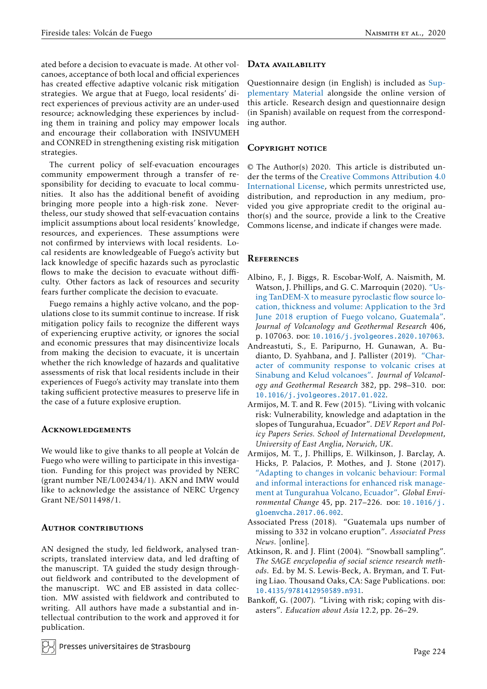ated before a decision to evacuate is made. At other volcanoes, acceptance of both local and official experiences has created effective adaptive volcanic risk mitigation strategies. We argue that at Fuego, local residents' direct experiences of previous activity are an under-used resource; acknowledging these experiences by including them in training and policy may empower locals and encourage their collaboration with INSIVUMEH and CONRED in strengthening existing risk mitigation strategies.

The current policy of self-evacuation encourages community empowerment through a transfer of responsibility for deciding to evacuate to local communities. It also has the additional benefit of avoiding bringing more people into a high-risk zone. Nevertheless, our study showed that self-evacuation contains implicit assumptions about local residents' knowledge, resources, and experiences. These assumptions were not confirmed by interviews with local residents. Local residents are knowledgeable of Fuego's activity but lack knowledge of specific hazards such as pyroclastic flows to make the decision to evacuate without difficulty. Other factors as lack of resources and security fears further complicate the decision to evacuate.

Fuego remains a highly active volcano, and the populations close to its summit continue to increase. If risk mitigation policy fails to recognize the different ways of experiencing eruptive activity, or ignores the social and economic pressures that may disincentivize locals from making the decision to evacuate, it is uncertain whether the rich knowledge of hazards and qualitative assessments of risk that local residents include in their experiences of Fuego's activity may translate into them taking sufficient protective measures to preserve life in the case of a future explosive eruption.

# **ACKNOWLEDGEMENTS**

We would like to give thanks to all people at Volcán de Fuego who were willing to participate in this investigation. Funding for this project was provided by NERC (grant number NE/L002434/1). AKN and IMW would like to acknowledge the assistance of NERC Urgency Grant NE/S011498/1.

## AUTHOR CONTRIBUTIONS

AN designed the study, led fieldwork, analysed transcripts, translated interview data, and led drafting of the manuscript. TA guided the study design throughout fieldwork and contributed to the development of the manuscript. WC and EB assisted in data collection. MW assisted with fieldwork and contributed to writing. All authors have made a substantial and intellectual contribution to the work and approved it for publication.

# DATA AVAILABILITY

Questionnaire design (in English) is included as [Sup](https://www.jvolcanica.org/ojs/index.php/volcanica/article/view/68)[plementary Material](https://www.jvolcanica.org/ojs/index.php/volcanica/article/view/68) alongside the online version of this article. Research design and questionnaire design (in Spanish) available on request from the corresponding author.

# COPYRIGHT NOTICE

© The Author(s) 2020. This article is distributed under the terms of the [Creative Commons Attribution 4.0](http://creativecommons.org/licenses/by/4.0/) [International License,](http://creativecommons.org/licenses/by/4.0/) which permits unrestricted use, distribution, and reproduction in any medium, provided you give appropriate credit to the original author(s) and the source, provide a link to the Creative Commons license, and indicate if changes were made.

# **REFERENCES**

- <span id="page-19-1"></span>Albino, F., J. Biggs, R. Escobar-Wolf, A. Naismith, M. Watson, J. Phillips, and G. C. Marroquin (2020). ["Us](http://dx.doi.org/10.1016/j.jvolgeores.2020.107063)[ing TanDEM-X to measure pyroclastic flow source lo](http://dx.doi.org/10.1016/j.jvolgeores.2020.107063)[cation, thickness and volume: Application to the 3rd](http://dx.doi.org/10.1016/j.jvolgeores.2020.107063) [June 2018 eruption of Fuego volcano, Guatemala".](http://dx.doi.org/10.1016/j.jvolgeores.2020.107063) *Journal of Volcanology and Geothermal Research* 406, p. 107063. poi: [10.1016/j.jvolgeores.2020.107063](https://doi.org/10.1016/j.jvolgeores.2020.107063).
- <span id="page-19-3"></span>Andreastuti, S., E. Paripurno, H. Gunawan, A. Budianto, D. Syahbana, and J. Pallister (2019). ["Char](http://dx.doi.org/10.1016/j.jvolgeores.2017.01.022)[acter of community response to volcanic crises at](http://dx.doi.org/10.1016/j.jvolgeores.2017.01.022) [Sinabung and Kelud volcanoes".](http://dx.doi.org/10.1016/j.jvolgeores.2017.01.022) *Journal of Volcanology and Geothermal Research 382, pp. 298–310. poi:* [10.1016/j.jvolgeores.2017.01.022](https://doi.org/10.1016/j.jvolgeores.2017.01.022).
- <span id="page-19-2"></span>Armijos, M. T. and R. Few (2015). "Living with volcanic risk: Vulnerability, knowledge and adaptation in the slopes of Tungurahua, Ecuador". *DEV Report and Policy Papers Series. School of International Development, University of East Anglia, Norwich, UK*.
- <span id="page-19-5"></span>Armijos, M. T., J. Phillips, E. Wilkinson, J. Barclay, A. Hicks, P. Palacios, P. Mothes, and J. Stone (2017). ["Adapting to changes in volcanic behaviour: Formal](http://dx.doi.org/10.1016/j.gloenvcha.2017.06.002) [and informal interactions for enhanced risk manage](http://dx.doi.org/10.1016/j.gloenvcha.2017.06.002)[ment at Tungurahua Volcano, Ecuador".](http://dx.doi.org/10.1016/j.gloenvcha.2017.06.002) *Global Environmental Change* 45, pp. 217–226. poi: [10.1016/j.](https://doi.org/10.1016/j.gloenvcha.2017.06.002) [gloenvcha.2017.06.002](https://doi.org/10.1016/j.gloenvcha.2017.06.002).
- <span id="page-19-0"></span>Associated Press (2018). "Guatemala ups number of missing to 332 in volcano eruption". *Associated Press News*. [online].
- <span id="page-19-6"></span>Atkinson, R. and J. Flint (2004). "Snowball sampling". *The SAGE encyclopedia of social science research methods*. Ed. by M. S. Lewis-Beck, A. Bryman, and T. Futing Liao. Thousand Oaks, CA: Sage Publications. poi: [10.4135/9781412950589.n931](https://doi.org/10.4135/9781412950589.n931).
- <span id="page-19-4"></span>Bankoff, G. (2007). "Living with risk; coping with disasters". *Education about Asia* 12.2, pp. 26–29.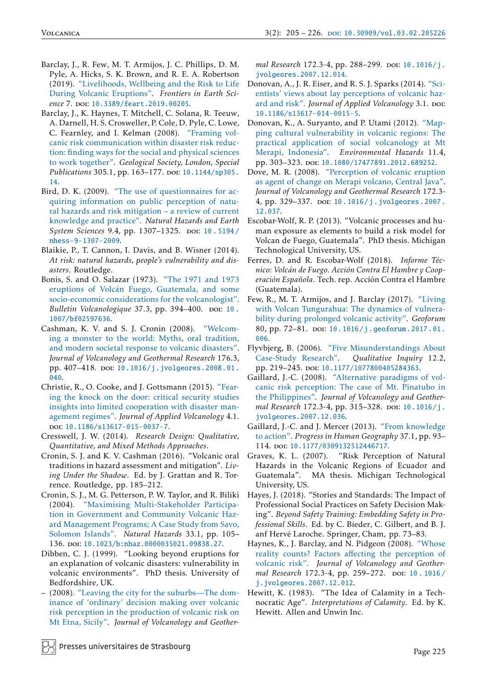- <span id="page-20-17"></span>Barclay, J., R. Few, M. T. Armijos, J. C. Phillips, D. M. Pyle, A. Hicks, S. K. Brown, and R. E. A. Robertson (2019). ["Livelihoods, Wellbeing and the Risk to Life](http://dx.doi.org/10.3389/feart.2019.00205) [During Volcanic Eruptions".](http://dx.doi.org/10.3389/feart.2019.00205) *Frontiers in Earth Science* 7. poi: [10.3389/feart.2019.00205](https://doi.org/10.3389/feart.2019.00205).
- <span id="page-20-15"></span>Barclay, J., K. Haynes, T. Mitchell, C. Solana, R. Teeuw, A. Darnell, H. S. Crosweller, P. Cole, D. Pyle, C. Lowe, C. Fearnley, and I. Kelman (2008). ["Framing vol](http://dx.doi.org/10.1144/sp305.14)[canic risk communication within disaster risk reduc](http://dx.doi.org/10.1144/sp305.14)[tion: finding ways for the social and physical sciences](http://dx.doi.org/10.1144/sp305.14) [to work together".](http://dx.doi.org/10.1144/sp305.14) *Geological Society, London, Special* Publications 305.1, pp. 163-177. poi: [10.1144/sp305.](https://doi.org/10.1144/sp305.14) [14](https://doi.org/10.1144/sp305.14).
- <span id="page-20-22"></span>Bird, D. K. (2009). ["The use of questionnaires for ac](http://dx.doi.org/10.5194/nhess-9-1307-2009)[quiring information on public perception of natu](http://dx.doi.org/10.5194/nhess-9-1307-2009)[ral hazards and risk mitigation – a review of current](http://dx.doi.org/10.5194/nhess-9-1307-2009) [knowledge and practice".](http://dx.doi.org/10.5194/nhess-9-1307-2009) *Natural Hazards and Earth* System Sciences 9.4, pp. 1307-1325. poi: 10.5194/ [nhess-9-1307-2009](https://doi.org/10.5194/nhess-9-1307-2009).
- <span id="page-20-2"></span>Blaikie, P., T. Cannon, I. Davis, and B. Wisner (2014). *At risk: natural hazards, people's vulnerability and disasters*. Routledge.
- <span id="page-20-18"></span>Bonis, S. and O. Salazar (1973). ["The 1971 and 1973](http://dx.doi.org/10.1007/bf02597636) [eruptions of Volcán Fuego, Guatemala, and some](http://dx.doi.org/10.1007/bf02597636) [socio-economic considerations for the volcanologist".](http://dx.doi.org/10.1007/bf02597636) *Bulletin Volcanologique* 37.3, pp. 394–400. por: 10. [1007/bf02597636](https://doi.org/10.1007/bf02597636).
- <span id="page-20-11"></span>Cashman, K. V. and S. J. Cronin (2008). ["Welcom](http://dx.doi.org/10.1016/j.jvolgeores.2008.01.040)[ing a monster to the world: Myths, oral tradition,](http://dx.doi.org/10.1016/j.jvolgeores.2008.01.040) [and modern societal response to volcanic disasters".](http://dx.doi.org/10.1016/j.jvolgeores.2008.01.040) *Journal of Volcanology and Geothermal Research* 176.3, pp. 407-418. poi: [10.1016/j.jvolgeores.2008.01.](https://doi.org/10.1016/j.jvolgeores.2008.01.040) [040](https://doi.org/10.1016/j.jvolgeores.2008.01.040).
- <span id="page-20-7"></span>Christie, R., O. Cooke, and J. Gottsmann (2015). ["Fear](http://dx.doi.org/10.1186/s13617-015-0037-7)[ing the knock on the door: critical security studies](http://dx.doi.org/10.1186/s13617-015-0037-7) [insights into limited cooperation with disaster man](http://dx.doi.org/10.1186/s13617-015-0037-7)[agement regimes".](http://dx.doi.org/10.1186/s13617-015-0037-7) *Journal of Applied Volcanology* 4.1. doi: [10.1186/s13617-015-0037-7](https://doi.org/10.1186/s13617-015-0037-7).
- <span id="page-20-23"></span>Cresswell, J. W. (2014). *Research Design: Qualitative, Quantitative, and Mixed Methods Approaches*.
- <span id="page-20-12"></span>Cronin, S. J. and K. V. Cashman (2016). "Volcanic oral traditions in hazard assessment and mitigation". *Living Under the Shadow*. Ed. by J. Grattan and R. Torrence. Routledge, pp. 185–212.
- <span id="page-20-9"></span>Cronin, S. J., M. G. Petterson, P. W. Taylor, and R. Biliki (2004). ["Maximising Multi-Stakeholder Participa](http://dx.doi.org/10.1023/b:nhaz.0000035021.09838.27)[tion in Government and Community Volcanic Haz](http://dx.doi.org/10.1023/b:nhaz.0000035021.09838.27)[ard Management Programs; A Case Study from Savo,](http://dx.doi.org/10.1023/b:nhaz.0000035021.09838.27) [Solomon Islands".](http://dx.doi.org/10.1023/b:nhaz.0000035021.09838.27) *Natural Hazards* 33.1, pp. 105– 136. doi: [10.1023/b:nhaz.0000035021.09838.27](https://doi.org/10.1023/b:nhaz.0000035021.09838.27).
- <span id="page-20-3"></span>Dibben, C. J. (1999). "Looking beyond eruptions for an explanation of volcanic disasters: vulnerability in volcanic environments". PhD thesis. University of Bedfordshire, UK.
- <span id="page-20-4"></span>– (2008). ["Leaving the city for the suburbs—The dom](http://dx.doi.org/10.1016/j.jvolgeores.2007.12.014)[inance of 'ordinary' decision making over volcanic](http://dx.doi.org/10.1016/j.jvolgeores.2007.12.014) [risk perception in the production of volcanic risk on](http://dx.doi.org/10.1016/j.jvolgeores.2007.12.014) [Mt Etna, Sicily".](http://dx.doi.org/10.1016/j.jvolgeores.2007.12.014) *Journal of Volcanology and Geother-*

*mal Research* 172.3-4, pp. 288-299. poi: [10.1016/j.](https://doi.org/10.1016/j.jvolgeores.2007.12.014) [jvolgeores.2007.12.014](https://doi.org/10.1016/j.jvolgeores.2007.12.014).

- <span id="page-20-6"></span>Donovan, A., J. R. Eiser, and R. S. J. Sparks (2014). ["Sci](http://dx.doi.org/10.1186/s13617-014-0015-5)[entists' views about lay perceptions of volcanic haz](http://dx.doi.org/10.1186/s13617-014-0015-5)[ard and risk".](http://dx.doi.org/10.1186/s13617-014-0015-5) *Journal of Applied Volcanology* 3.1. poi: [10.1186/s13617-014-0015-5](https://doi.org/10.1186/s13617-014-0015-5).
- <span id="page-20-8"></span>Donovan, K., A. Suryanto, and P. Utami (2012). ["Map](http://dx.doi.org/10.1080/17477891.2012.689252)[ping cultural vulnerability in volcanic regions: The](http://dx.doi.org/10.1080/17477891.2012.689252) [practical application of social volcanology at Mt](http://dx.doi.org/10.1080/17477891.2012.689252) [Merapi, Indonesia".](http://dx.doi.org/10.1080/17477891.2012.689252) *Environmental Hazards* 11.4, pp. 303–323. doi: [10.1080/17477891.2012.689252](https://doi.org/10.1080/17477891.2012.689252).
- <span id="page-20-14"></span>Dove, M. R. (2008). ["Perception of volcanic eruption](http://dx.doi.org/10.1016/j.jvolgeores.2007.12.037) [as agent of change on Merapi volcano, Central Java".](http://dx.doi.org/10.1016/j.jvolgeores.2007.12.037) *Journal of Volcanology and Geothermal Research* 172.3- 4, pp. 329-337. DOI: [10.1016/j.jvolgeores.2007.](https://doi.org/10.1016/j.jvolgeores.2007.12.037) [12.037](https://doi.org/10.1016/j.jvolgeores.2007.12.037).
- <span id="page-20-20"></span>Escobar-Wolf, R. P. (2013). "Volcanic processes and human exposure as elements to build a risk model for Volcan de Fuego, Guatemala". PhD thesis. Michigan Technological University, US.
- <span id="page-20-0"></span>Ferres, D. and R. Escobar-Wolf (2018). *Informe Técnico: Volcán de Fuego. Acción Contra El Hambre y Cooperación Española*. Tech. rep. Acción Contra el Hambre (Guatemala).
- <span id="page-20-16"></span>Few, R., M. T. Armijos, and J. Barclay (2017). ["Living](http://dx.doi.org/10.1016/j.geoforum.2017.01.006) [with Volcan Tungurahua: The dynamics of vulnera](http://dx.doi.org/10.1016/j.geoforum.2017.01.006)[bility during prolonged volcanic activity".](http://dx.doi.org/10.1016/j.geoforum.2017.01.006) *Geoforum* 80, pp. 72-81. DOI: [10.1016/j.geoforum.2017.01.](https://doi.org/10.1016/j.geoforum.2017.01.006) [006](https://doi.org/10.1016/j.geoforum.2017.01.006).
- <span id="page-20-21"></span>Flyvbjerg, B. (2006). ["Five Misunderstandings About](http://dx.doi.org/10.1177/1077800405284363) [Case-Study Research".](http://dx.doi.org/10.1177/1077800405284363) *Qualitative Inquiry* 12.2, pp. 219-245. poi: [10.1177/1077800405284363](https://doi.org/10.1177/1077800405284363).
- <span id="page-20-5"></span>Gaillard, J.-C. (2008). ["Alternative paradigms of vol](http://dx.doi.org/10.1016/j.jvolgeores.2007.12.036)[canic risk perception: The case of Mt. Pinatubo in](http://dx.doi.org/10.1016/j.jvolgeores.2007.12.036) [the Philippines".](http://dx.doi.org/10.1016/j.jvolgeores.2007.12.036) *Journal of Volcanology and Geothermal Research* 172.3-4, pp. 315-328. poi: [10.1016/j.](https://doi.org/10.1016/j.jvolgeores.2007.12.036) [jvolgeores.2007.12.036](https://doi.org/10.1016/j.jvolgeores.2007.12.036).
- <span id="page-20-10"></span>Gaillard, J.-C. and J. Mercer (2013). ["From knowledge](http://dx.doi.org/10.1177/0309132512446717) [to action".](http://dx.doi.org/10.1177/0309132512446717) *Progress in Human Geography* 37.1, pp. 93– 114. doi: [10.1177/0309132512446717](https://doi.org/10.1177/0309132512446717).
- <span id="page-20-19"></span>Graves, K. L. (2007). "Risk Perception of Natural Hazards in the Volcanic Regions of Ecuador and Guatemala". MA thesis. Michigan Technological University, US.
- <span id="page-20-13"></span>Hayes, J. (2018). "Stories and Standards: The Impact of Professional Social Practices on Safety Decision Making". *Beyond Safety Training: Embedding Safety in Professional Skills*. Ed. by C. Bieder, C. Gilbert, and B. J. anf Hervé Laroche. Springer, Cham, pp. 73–83.
- <span id="page-20-24"></span>Haynes, K., J. Barclay, and N. Pidgeon (2008). ["Whose](http://dx.doi.org/10.1016/j.jvolgeores.2007.12.012) [reality counts? Factors a](http://dx.doi.org/10.1016/j.jvolgeores.2007.12.012)ffecting the perception of [volcanic risk".](http://dx.doi.org/10.1016/j.jvolgeores.2007.12.012) *Journal of Volcanology and Geothermal Research* 172.3-4, pp. 259-272. poi: 10. 1016 / [j.jvolgeores.2007.12.012](https://doi.org/10.1016/j.jvolgeores.2007.12.012).
- <span id="page-20-1"></span>Hewitt, K. (1983). "The Idea of Calamity in a Technocratic Age". *Interpretations of Calamity*. Ed. by K. Hewitt. Allen and Unwin Inc.